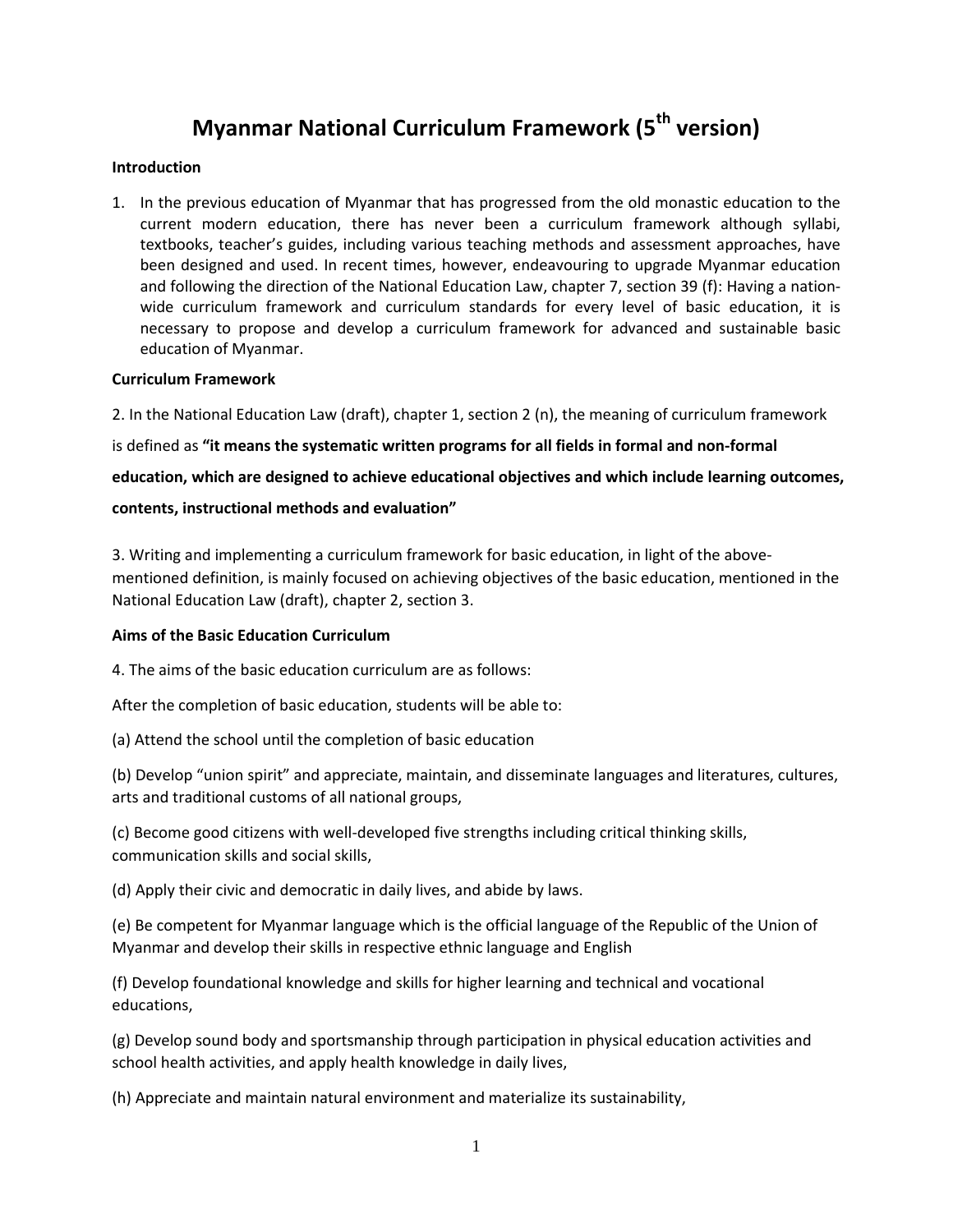# **Myanmar National Curriculum Framework (5th version)**

#### **Introduction**

1. In the previous education of Myanmar that has progressed from the old monastic education to the current modern education, there has never been a curriculum framework although syllabi, textbooks, teacher's guides, including various teaching methods and assessment approaches, have been designed and used. In recent times, however, endeavouring to upgrade Myanmar education and following the direction of the National Education Law, chapter 7, section 39 (f): Having a nationwide curriculum framework and curriculum standards for every level of basic education, it is necessary to propose and develop a curriculum framework for advanced and sustainable basic education of Myanmar.

#### **Curriculum Framework**

2. In the National Education Law (draft), chapter 1, section 2 (n), the meaning of curriculum framework

is defined as **"it means the systematic written programs for all fields in formal and non-formal** 

**education, which are designed to achieve educational objectives and which include learning outcomes, contents, instructional methods and evaluation"**

3. Writing and implementing a curriculum framework for basic education, in light of the abovementioned definition, is mainly focused on achieving objectives of the basic education, mentioned in the National Education Law (draft), chapter 2, section 3.

# **Aims of the Basic Education Curriculum**

4. The aims of the basic education curriculum are as follows:

After the completion of basic education, students will be able to:

(a) Attend the school until the completion of basic education

(b) Develop "union spirit" and appreciate, maintain, and disseminate languages and literatures, cultures, arts and traditional customs of all national groups,

(c) Become good citizens with well-developed five strengths including critical thinking skills, communication skills and social skills,

(d) Apply their civic and democratic in daily lives, and abide by laws.

(e) Be competent for Myanmar language which is the official language of the Republic of the Union of Myanmar and develop their skills in respective ethnic language and English

(f) Develop foundational knowledge and skills for higher learning and technical and vocational educations,

(g) Develop sound body and sportsmanship through participation in physical education activities and school health activities, and apply health knowledge in daily lives,

(h) Appreciate and maintain natural environment and materialize its sustainability,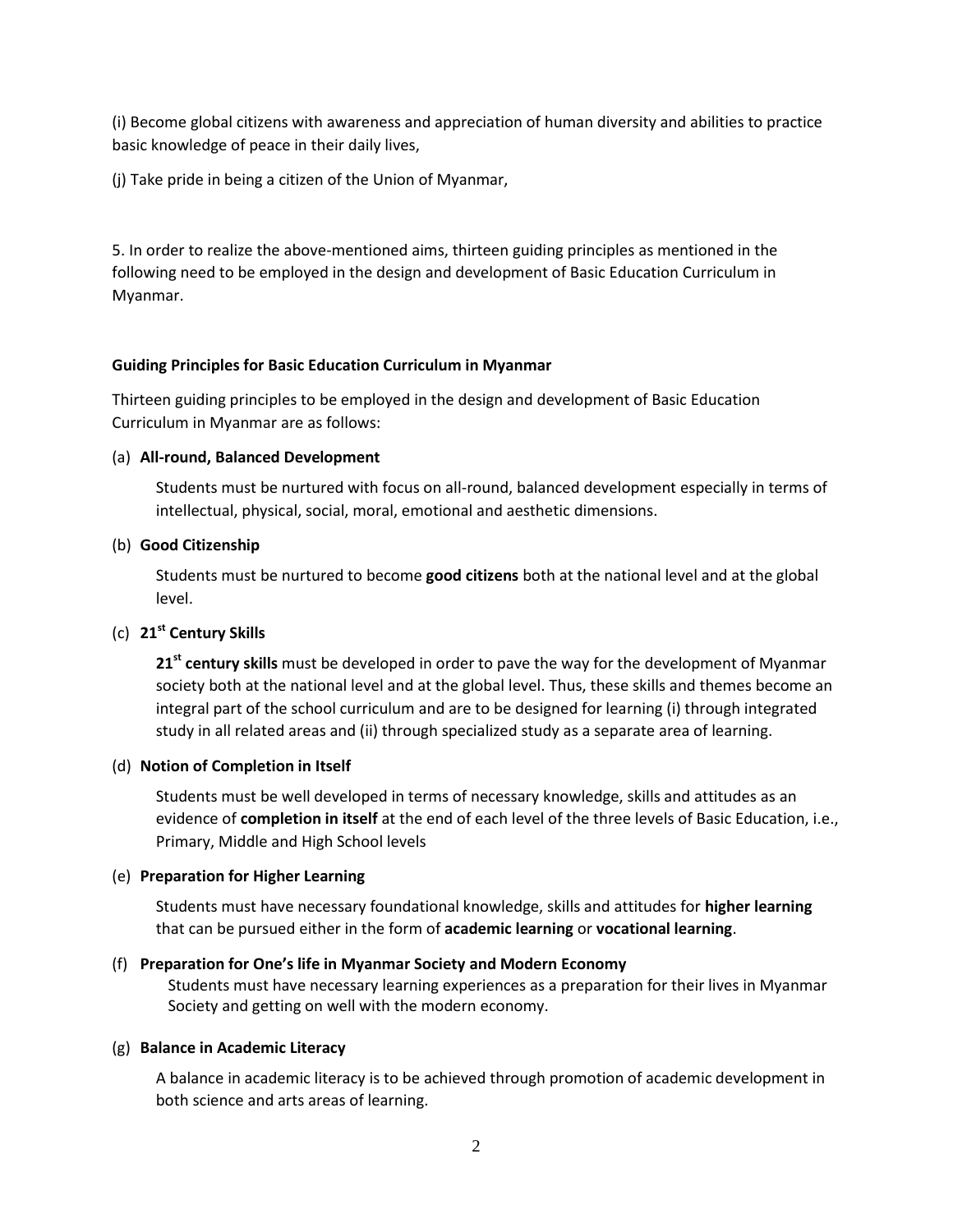(i) Become global citizens with awareness and appreciation of human diversity and abilities to practice basic knowledge of peace in their daily lives,

(j) Take pride in being a citizen of the Union of Myanmar,

5. In order to realize the above-mentioned aims, thirteen guiding principles as mentioned in the following need to be employed in the design and development of Basic Education Curriculum in Myanmar.

#### **Guiding Principles for Basic Education Curriculum in Myanmar**

Thirteen guiding principles to be employed in the design and development of Basic Education Curriculum in Myanmar are as follows:

#### (a) **All-round, Balanced Development**

Students must be nurtured with focus on all-round, balanced development especially in terms of intellectual, physical, social, moral, emotional and aesthetic dimensions.

# (b) **Good Citizenship**

Students must be nurtured to become **good citizens** both at the national level and at the global level.

# (c) **21st Century Skills**

**21st century skills** must be developed in order to pave the way for the development of Myanmar society both at the national level and at the global level. Thus, these skills and themes become an integral part of the school curriculum and are to be designed for learning (i) through integrated study in all related areas and (ii) through specialized study as a separate area of learning.

#### (d) **Notion of Completion in Itself**

Students must be well developed in terms of necessary knowledge, skills and attitudes as an evidence of **completion in itself** at the end of each level of the three levels of Basic Education, i.e., Primary, Middle and High School levels

#### (e) **Preparation for Higher Learning**

Students must have necessary foundational knowledge, skills and attitudes for **higher learning** that can be pursued either in the form of **academic learning** or **vocational learning**.

# (f) **Preparation for One's life in Myanmar Society and Modern Economy**

Students must have necessary learning experiences as a preparation for their lives in Myanmar Society and getting on well with the modern economy.

#### (g) **Balance in Academic Literacy**

A balance in academic literacy is to be achieved through promotion of academic development in both science and arts areas of learning.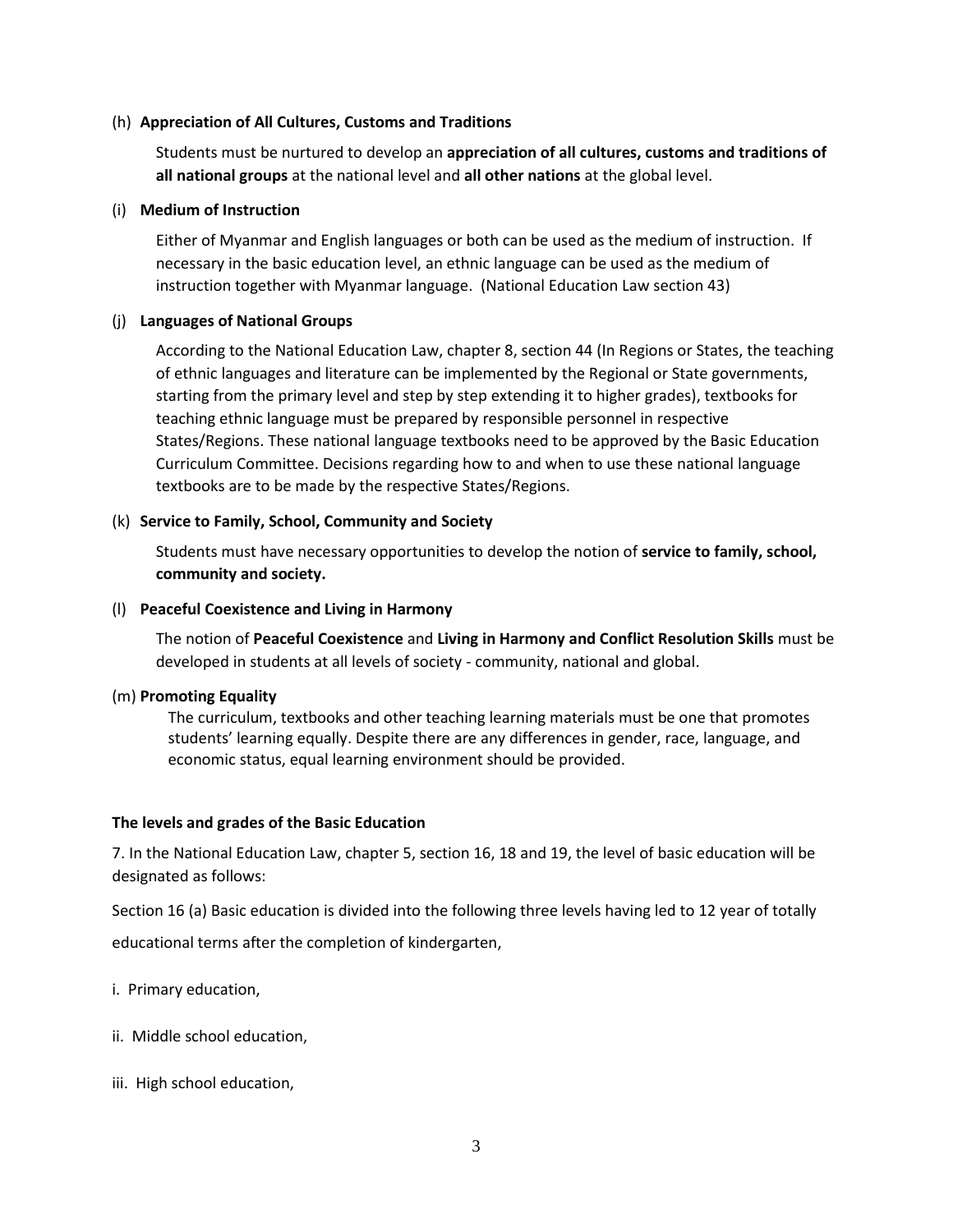#### (h) **Appreciation of All Cultures, Customs and Traditions**

Students must be nurtured to develop an **appreciation of all cultures, customs and traditions of all national groups** at the national level and **all other nations** at the global level.

#### (i) **Medium of Instruction**

Either of Myanmar and English languages or both can be used as the medium of instruction. If necessary in the basic education level, an ethnic language can be used as the medium of instruction together with Myanmar language. (National Education Law section 43)

#### (j) **Languages of National Groups**

According to the National Education Law, chapter 8, section 44 (In Regions or States, the teaching of ethnic languages and literature can be implemented by the Regional or State governments, starting from the primary level and step by step extending it to higher grades), textbooks for teaching ethnic language must be prepared by responsible personnel in respective States/Regions. These national language textbooks need to be approved by the Basic Education Curriculum Committee. Decisions regarding how to and when to use these national language textbooks are to be made by the respective States/Regions.

#### (k) **Service to Family, School, Community and Society**

Students must have necessary opportunities to develop the notion of **service to family, school, community and society.**

#### (l) **Peaceful Coexistence and Living in Harmony**

The notion of **Peaceful Coexistence** and **Living in Harmony and Conflict Resolution Skills** must be developed in students at all levels of society - community, national and global.

#### (m) **Promoting Equality**

The curriculum, textbooks and other teaching learning materials must be one that promotes students' learning equally. Despite there are any differences in gender, race, language, and economic status, equal learning environment should be provided.

#### **The levels and grades of the Basic Education**

7. In the National Education Law, chapter 5, section 16, 18 and 19, the level of basic education will be designated as follows:

Section 16 (a) Basic education is divided into the following three levels having led to 12 year of totally educational terms after the completion of kindergarten,

- i. Primary education,
- ii. Middle school education,
- iii. High school education,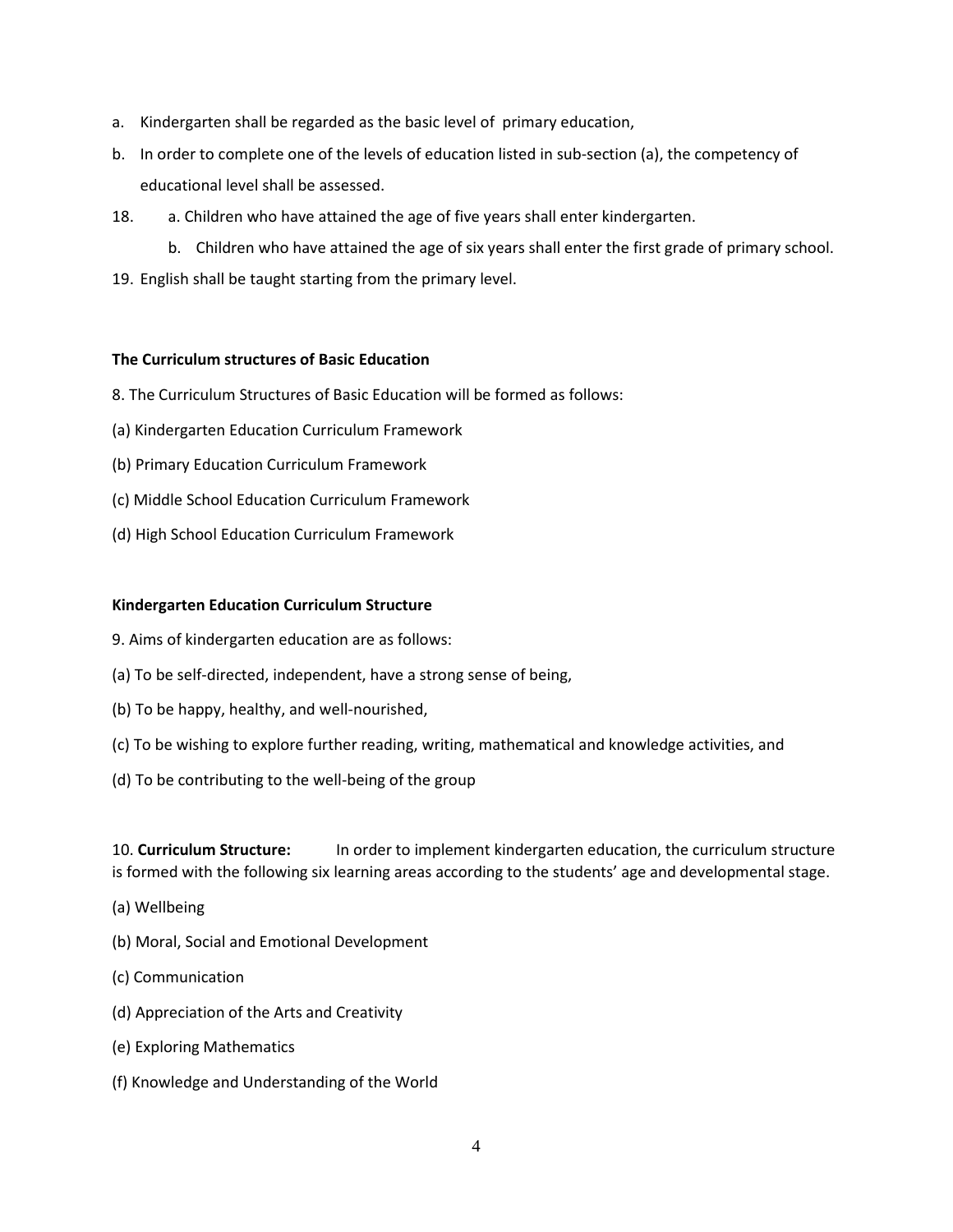- a. Kindergarten shall be regarded as the basic level of primary education,
- b. In order to complete one of the levels of education listed in sub-section (a), the competency of educational level shall be assessed.
- 18. a. Children who have attained the age of five years shall enter kindergarten.
	- b. Children who have attained the age of six years shall enter the first grade of primary school.
- 19. English shall be taught starting from the primary level.

#### **The Curriculum structures of Basic Education**

- 8. The Curriculum Structures of Basic Education will be formed as follows:
- (a) Kindergarten Education Curriculum Framework
- (b) Primary Education Curriculum Framework
- (c) Middle School Education Curriculum Framework
- (d) High School Education Curriculum Framework

#### **Kindergarten Education Curriculum Structure**

- 9. Aims of kindergarten education are as follows:
- (a) To be self-directed, independent, have a strong sense of being,
- (b) To be happy, healthy, and well-nourished,
- (c) To be wishing to explore further reading, writing, mathematical and knowledge activities, and
- (d) To be contributing to the well-being of the group

10. **Curriculum Structure:** In order to implement kindergarten education, the curriculum structure is formed with the following six learning areas according to the students' age and developmental stage.

- (a) Wellbeing
- (b) Moral, Social and Emotional Development
- (c) Communication
- (d) Appreciation of the Arts and Creativity
- (e) Exploring Mathematics
- (f) Knowledge and Understanding of the World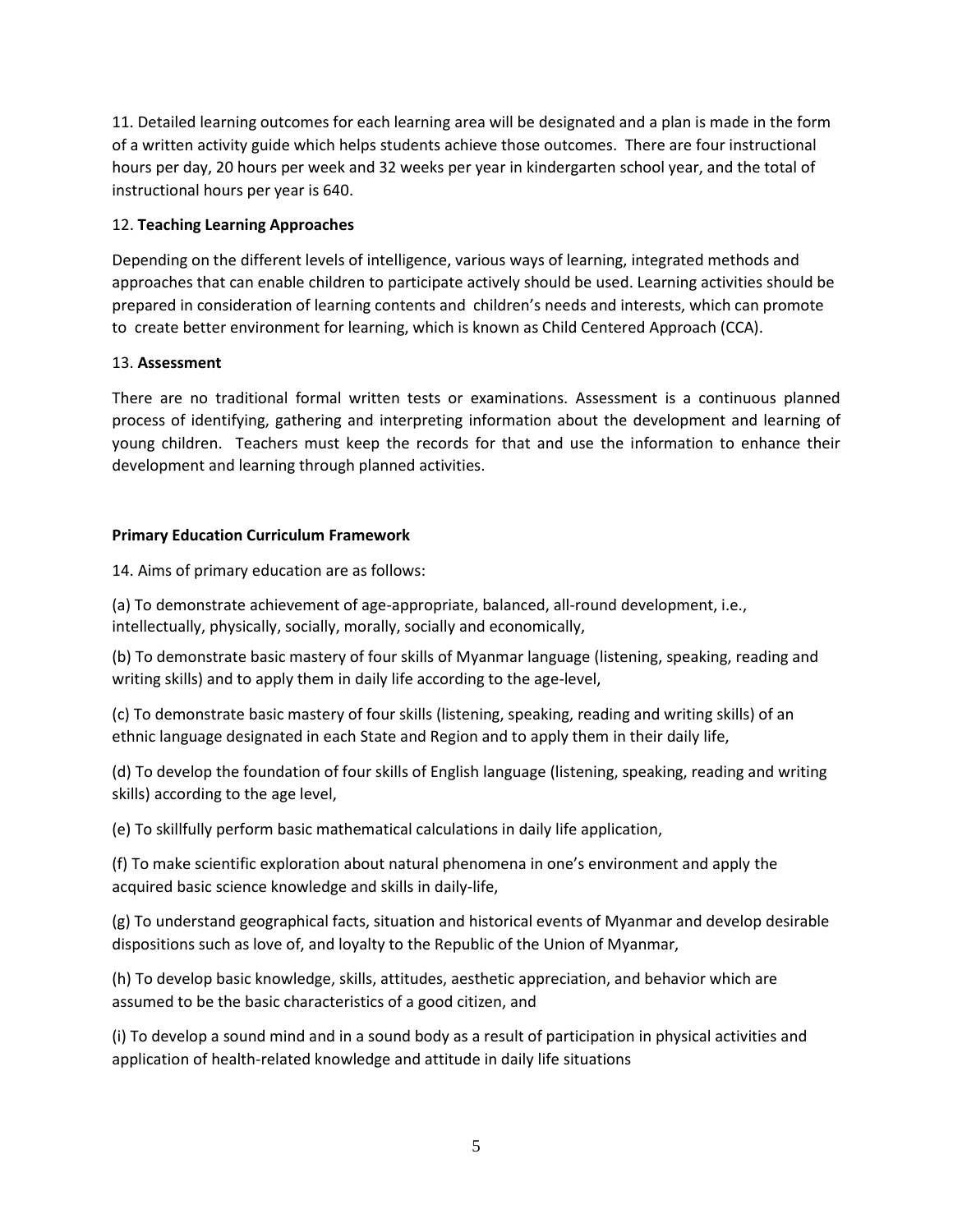11. Detailed learning outcomes for each learning area will be designated and a plan is made in the form of a written activity guide which helps students achieve those outcomes. There are four instructional hours per day, 20 hours per week and 32 weeks per year in kindergarten school year, and the total of instructional hours per year is 640.

# 12. **Teaching Learning Approaches**

Depending on the different levels of intelligence, various ways of learning, integrated methods and approaches that can enable children to participate actively should be used. Learning activities should be prepared in consideration of learning contents and children's needs and interests, which can promote to create better environment for learning, which is known as Child Centered Approach (CCA).

# 13. **Assessment**

There are no traditional formal written tests or examinations. Assessment is a continuous planned process of identifying, gathering and interpreting information about the development and learning of young children. Teachers must keep the records for that and use the information to enhance their development and learning through planned activities.

# **Primary Education Curriculum Framework**

14. Aims of primary education are as follows:

(a) To demonstrate achievement of age-appropriate, balanced, all-round development, i.e., intellectually, physically, socially, morally, socially and economically,

(b) To demonstrate basic mastery of four skills of Myanmar language (listening, speaking, reading and writing skills) and to apply them in daily life according to the age-level,

(c) To demonstrate basic mastery of four skills (listening, speaking, reading and writing skills) of an ethnic language designated in each State and Region and to apply them in their daily life,

(d) To develop the foundation of four skills of English language (listening, speaking, reading and writing skills) according to the age level,

(e) To skillfully perform basic mathematical calculations in daily life application,

(f) To make scientific exploration about natural phenomena in one's environment and apply the acquired basic science knowledge and skills in daily-life,

(g) To understand geographical facts, situation and historical events of Myanmar and develop desirable dispositions such as love of, and loyalty to the Republic of the Union of Myanmar,

(h) To develop basic knowledge, skills, attitudes, aesthetic appreciation, and behavior which are assumed to be the basic characteristics of a good citizen, and

(i) To develop a sound mind and in a sound body as a result of participation in physical activities and application of health-related knowledge and attitude in daily life situations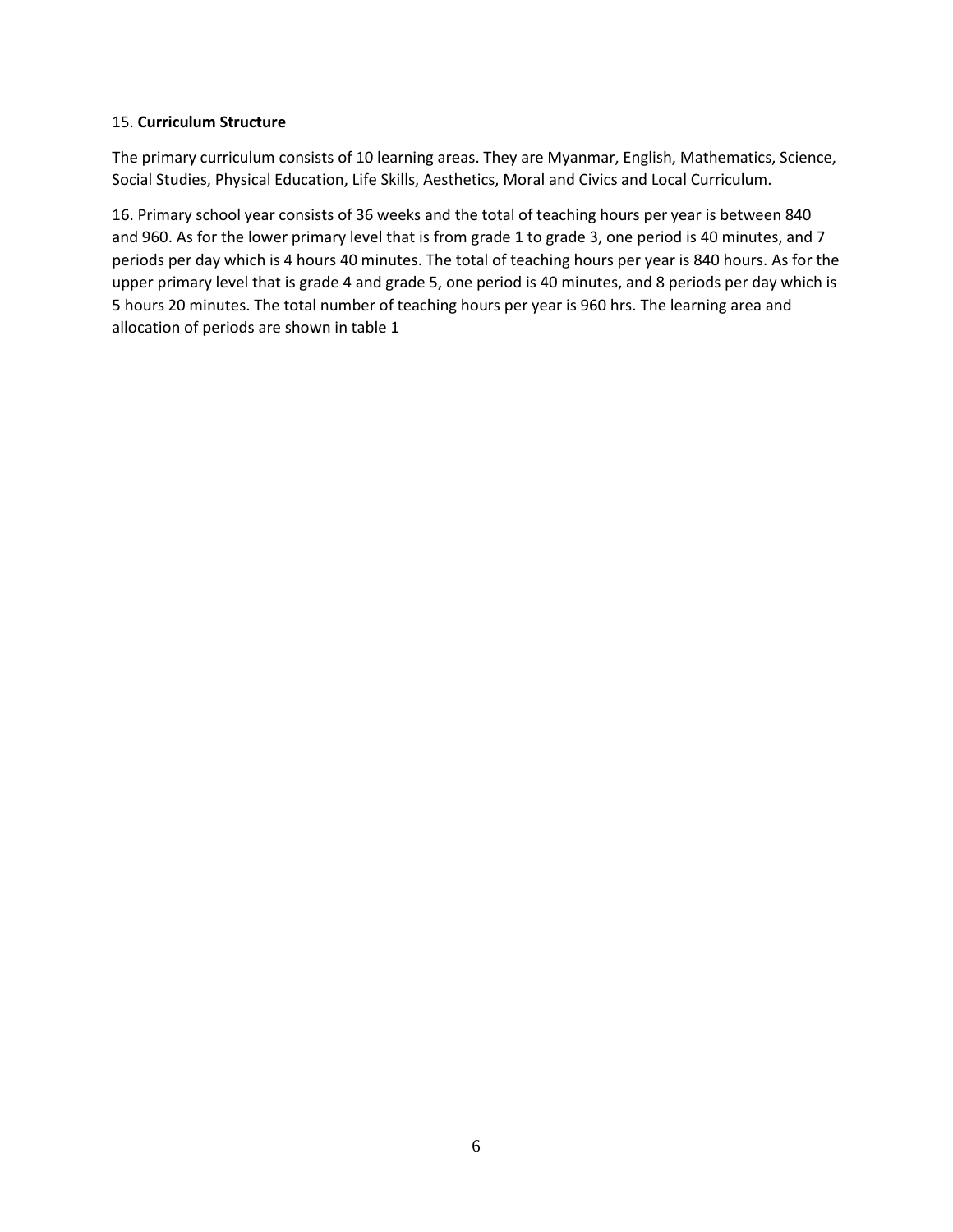#### 15. **Curriculum Structure**

The primary curriculum consists of 10 learning areas. They are Myanmar, English, Mathematics, Science, Social Studies, Physical Education, Life Skills, Aesthetics, Moral and Civics and Local Curriculum.

16. Primary school year consists of 36 weeks and the total of teaching hours per year is between 840 and 960. As for the lower primary level that is from grade 1 to grade 3, one period is 40 minutes, and 7 periods per day which is 4 hours 40 minutes. The total of teaching hours per year is 840 hours. As for the upper primary level that is grade 4 and grade 5, one period is 40 minutes, and 8 periods per day which is 5 hours 20 minutes. The total number of teaching hours per year is 960 hrs. The learning area and allocation of periods are shown in table 1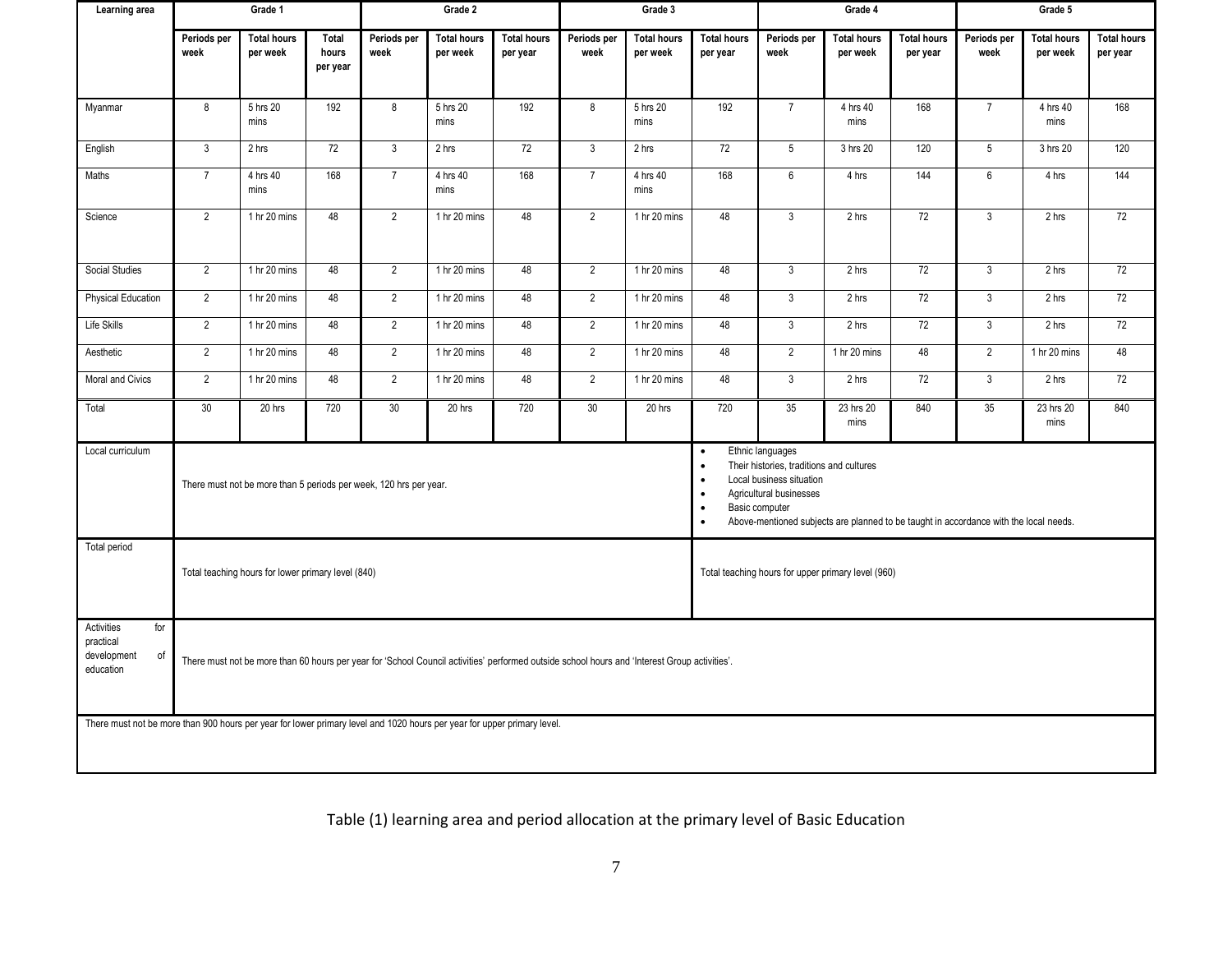| Learning area                                                    | Grade 1                                                                                                                                                                                                                                                                                                                                                                           |                                |                            | Grade 2             |                                |                                | Grade 3             |                                |                                | Grade 4             |                                |                                | Grade 5             |                                |                                |
|------------------------------------------------------------------|-----------------------------------------------------------------------------------------------------------------------------------------------------------------------------------------------------------------------------------------------------------------------------------------------------------------------------------------------------------------------------------|--------------------------------|----------------------------|---------------------|--------------------------------|--------------------------------|---------------------|--------------------------------|--------------------------------|---------------------|--------------------------------|--------------------------------|---------------------|--------------------------------|--------------------------------|
|                                                                  | Periods per<br>week                                                                                                                                                                                                                                                                                                                                                               | <b>Total hours</b><br>per week | Total<br>hours<br>per year | Periods per<br>week | <b>Total hours</b><br>per week | <b>Total hours</b><br>per year | Periods per<br>week | <b>Total hours</b><br>per week | <b>Total hours</b><br>per year | Periods per<br>week | <b>Total hours</b><br>per week | <b>Total hours</b><br>per year | Periods per<br>week | <b>Total hours</b><br>per week | <b>Total hours</b><br>per year |
| Myanmar                                                          | 8                                                                                                                                                                                                                                                                                                                                                                                 | 5 hrs 20<br>mins               | 192                        | 8                   | 5 hrs 20<br>mins               | 192                            | 8                   | 5 hrs 20<br>mins               | 192                            | $\overline{7}$      | 4 hrs 40<br>mins               | 168                            | $\overline{7}$      | 4 hrs 40<br>mins               | 168                            |
| English                                                          | $\mathbf{3}$                                                                                                                                                                                                                                                                                                                                                                      | 2 hrs                          | 72                         | $\mathbf{3}$        | 2 hrs                          | 72                             | $\mathbf{3}$        | 2 hrs                          | 72                             | $5\phantom{.0}$     | 3 hrs 20                       | 120                            | $5\phantom{.0}$     | 3 hrs 20                       | 120                            |
| Maths                                                            | $\overline{7}$                                                                                                                                                                                                                                                                                                                                                                    | 4 hrs 40<br>mins               | 168                        | $\overline{7}$      | 4 hrs 40<br>mins               | 168                            | $\overline{7}$      | 4 hrs 40<br>mins               | 168                            | 6                   | 4 hrs                          | 144                            | $6\phantom{1}$      | 4 hrs                          | 144                            |
| Science                                                          | 2                                                                                                                                                                                                                                                                                                                                                                                 | 1 hr 20 mins                   | 48                         | $\overline{2}$      | 1 hr 20 mins                   | 48                             | $\overline{2}$      | 1 hr 20 mins                   | 48                             | $\mathbf{3}$        | 2 hrs                          | 72                             | 3                   | 2 hrs                          | 72                             |
| Social Studies                                                   | 2                                                                                                                                                                                                                                                                                                                                                                                 | 1 hr 20 mins                   | 48                         | $\overline{2}$      | 1 hr 20 mins                   | 48                             | $\overline{2}$      | 1 hr 20 mins                   | 48                             | 3                   | 2 hrs                          | 72                             | $\mathbf{3}$        | 2 hrs                          | 72                             |
| Physical Education                                               | $\overline{2}$                                                                                                                                                                                                                                                                                                                                                                    | 1 hr 20 mins                   | 48                         | $\overline{2}$      | 1 hr 20 mins                   | 48                             | $\overline{2}$      | 1 hr 20 mins                   | 48                             | $\mathbf{3}$        | 2 hrs                          | 72                             | $\mathbf{3}$        | 2 hrs                          | 72                             |
| Life Skills                                                      | $\overline{2}$                                                                                                                                                                                                                                                                                                                                                                    | 1 hr 20 mins                   | 48                         | $\sqrt{2}$          | 1 hr 20 mins                   | 48                             | $\overline{2}$      | 1 hr 20 mins                   | 48                             | $\mathbf{3}$        | 2 hrs                          | 72                             | $\mathbf{3}$        | 2 hrs                          | 72                             |
| Aesthetic                                                        | $\overline{2}$                                                                                                                                                                                                                                                                                                                                                                    | 1 hr 20 mins                   | 48                         | $\overline{2}$      | 1 hr 20 mins                   | 48                             | $\overline{2}$      | 1 hr 20 mins                   | 48                             | $\overline{2}$      | 1 hr 20 mins                   | 48                             | $\overline{2}$      | 1 hr 20 mins                   | 48                             |
| Moral and Civics                                                 | $\overline{2}$                                                                                                                                                                                                                                                                                                                                                                    | 1 hr 20 mins                   | 48                         | $\overline{2}$      | 1 hr 20 mins                   | 48                             | $\overline{2}$      | 1 hr 20 mins                   | 48                             | $\mathbf{3}$        | 2 hrs                          | 72                             | $\mathbf{3}$        | 2 hrs                          | 72                             |
| Total                                                            | 30                                                                                                                                                                                                                                                                                                                                                                                | 20 hrs                         | 720                        | 30                  | 20 hrs                         | 720                            | 30                  | 20 hrs                         | 720                            | 35                  | 23 hrs 20<br>mins              | 840                            | 35                  | $\overline{23}$ hrs 20<br>mins | 840                            |
| Local curriculum                                                 | Ethnic languages<br>$\bullet$<br>Their histories, traditions and cultures<br>$\bullet$<br>Local business situation<br>$\bullet$<br>There must not be more than 5 periods per week, 120 hrs per year.<br>Agricultural businesses<br>$\bullet$<br>Basic computer<br>$\bullet$<br>Above-mentioned subjects are planned to be taught in accordance with the local needs.<br>$\bullet$ |                                |                            |                     |                                |                                |                     |                                |                                |                     |                                |                                |                     |                                |                                |
| Total period                                                     | Total teaching hours for lower primary level (840)<br>Total teaching hours for upper primary level (960)                                                                                                                                                                                                                                                                          |                                |                            |                     |                                |                                |                     |                                |                                |                     |                                |                                |                     |                                |                                |
| Activities<br>for<br>practical<br>development<br>of<br>education | There must not be more than 60 hours per year for 'School Council activities' performed outside school hours and 'Interest Group activities'.                                                                                                                                                                                                                                     |                                |                            |                     |                                |                                |                     |                                |                                |                     |                                |                                |                     |                                |                                |
|                                                                  | There must not be more than 900 hours per year for lower primary level and 1020 hours per year for upper primary level.                                                                                                                                                                                                                                                           |                                |                            |                     |                                |                                |                     |                                |                                |                     |                                |                                |                     |                                |                                |

# Table (1) learning area and period allocation at the primary level of Basic Education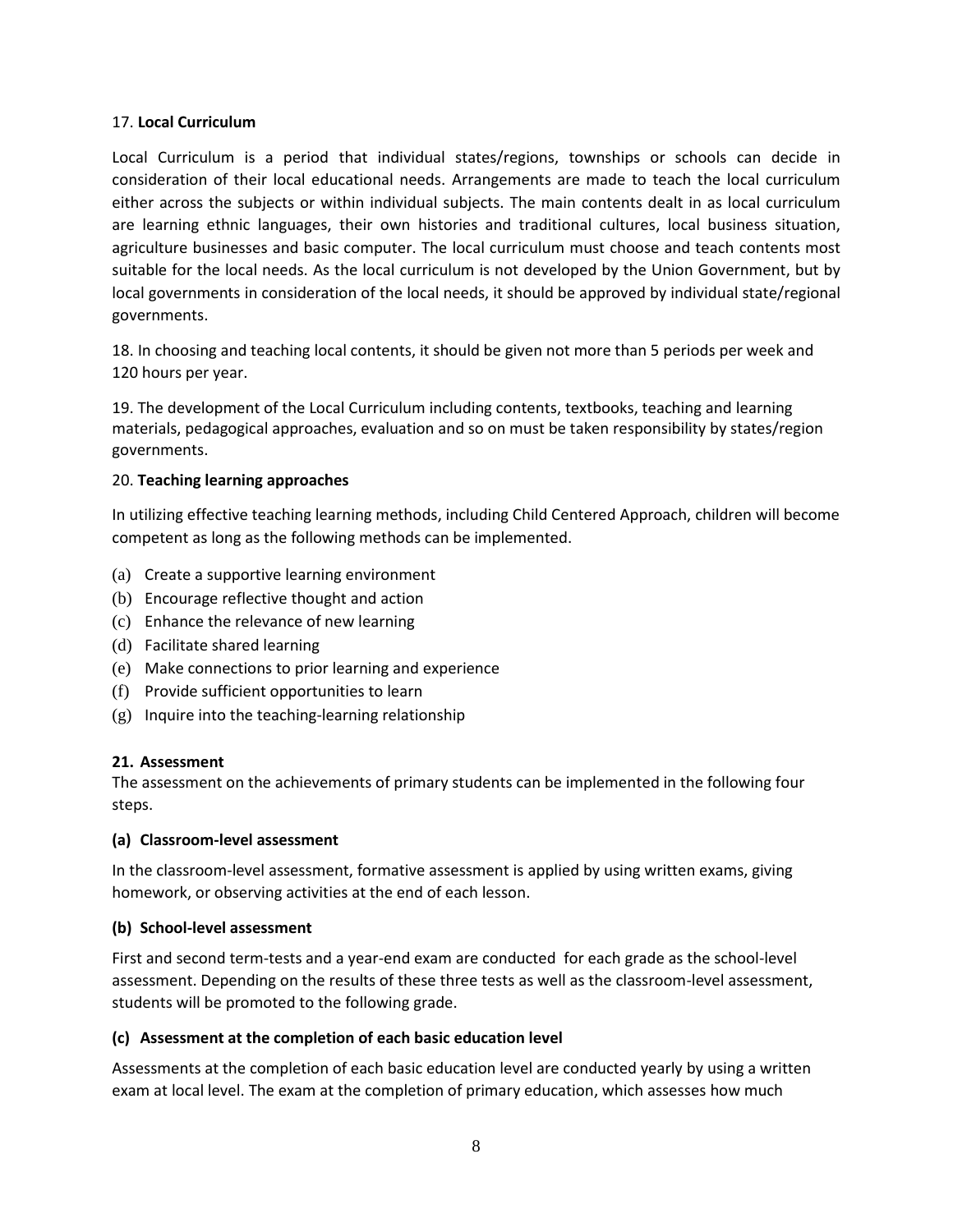#### 17. **Local Curriculum**

Local Curriculum is a period that individual states/regions, townships or schools can decide in consideration of their local educational needs. Arrangements are made to teach the local curriculum either across the subjects or within individual subjects. The main contents dealt in as local curriculum are learning ethnic languages, their own histories and traditional cultures, local business situation, agriculture businesses and basic computer. The local curriculum must choose and teach contents most suitable for the local needs. As the local curriculum is not developed by the Union Government, but by local governments in consideration of the local needs, it should be approved by individual state/regional governments.

18. In choosing and teaching local contents, it should be given not more than 5 periods per week and 120 hours per year.

19. The development of the Local Curriculum including contents, textbooks, teaching and learning materials, pedagogical approaches, evaluation and so on must be taken responsibility by states/region governments.

#### 20. **Teaching learning approaches**

In utilizing effective teaching learning methods, including Child Centered Approach, children will become competent as long as the following methods can be implemented.

- (a) Create a supportive learning environment
- (b) Encourage reflective thought and action
- (c) Enhance the relevance of new learning
- (d) Facilitate shared learning
- (e) Make connections to prior learning and experience
- (f) Provide sufficient opportunities to learn
- (g) Inquire into the teaching-learning relationship

#### **21. Assessment**

The assessment on the achievements of primary students can be implemented in the following four steps.

#### **(a) Classroom-level assessment**

In the classroom-level assessment, formative assessment is applied by using written exams, giving homework, or observing activities at the end of each lesson.

#### **(b) School-level assessment**

First and second term-tests and a year-end exam are conducted for each grade as the school-level assessment. Depending on the results of these three tests as well as the classroom-level assessment, students will be promoted to the following grade.

#### **(c) Assessment at the completion of each basic education level**

Assessments at the completion of each basic education level are conducted yearly by using a written exam at local level. The exam at the completion of primary education, which assesses how much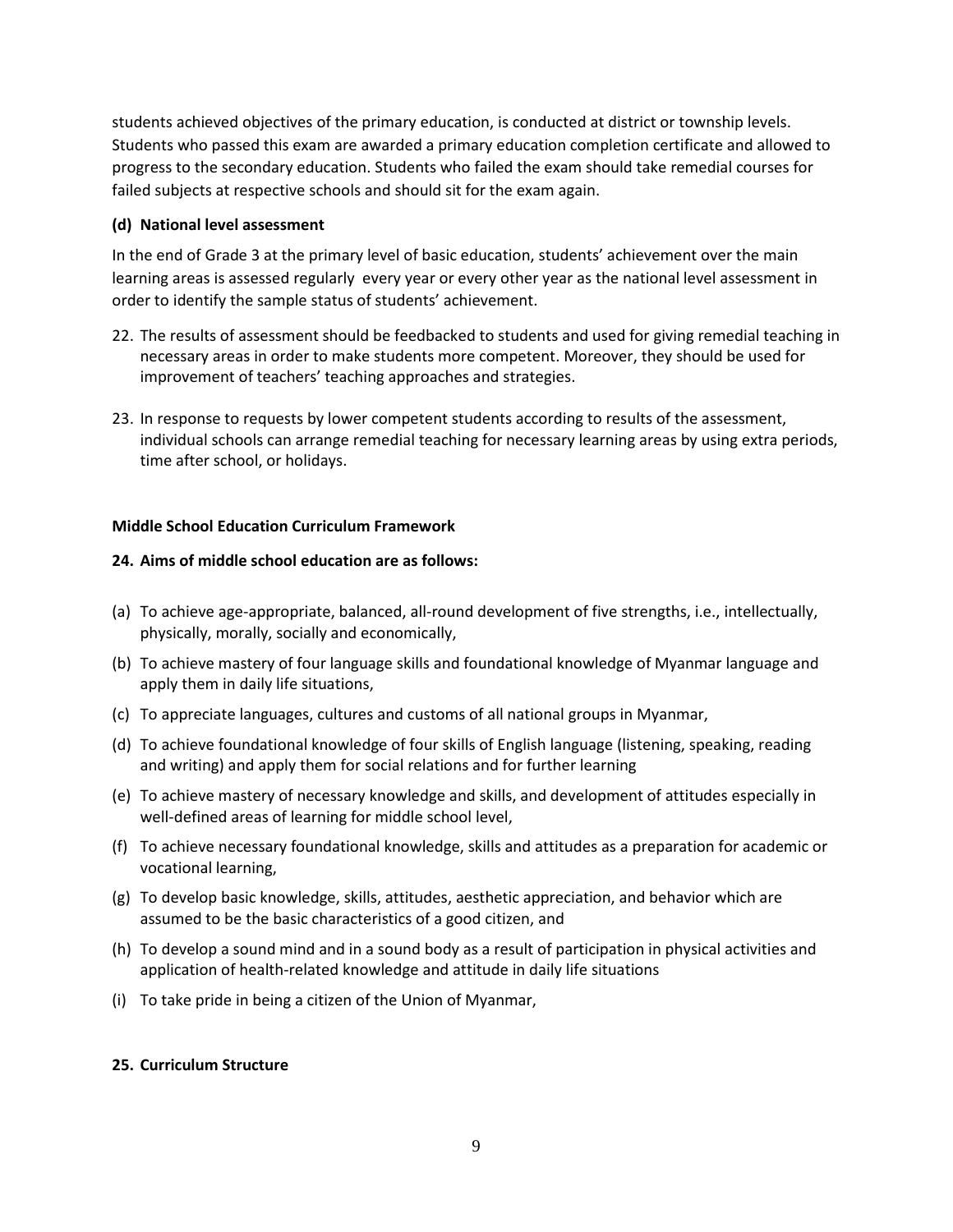students achieved objectives of the primary education, is conducted at district or township levels. Students who passed this exam are awarded a primary education completion certificate and allowed to progress to the secondary education. Students who failed the exam should take remedial courses for failed subjects at respective schools and should sit for the exam again.

#### **(d) National level assessment**

In the end of Grade 3 at the primary level of basic education, students' achievement over the main learning areas is assessed regularly every year or every other year as the national level assessment in order to identify the sample status of students' achievement.

- 22. The results of assessment should be feedbacked to students and used for giving remedial teaching in necessary areas in order to make students more competent. Moreover, they should be used for improvement of teachers' teaching approaches and strategies.
- 23. In response to requests by lower competent students according to results of the assessment, individual schools can arrange remedial teaching for necessary learning areas by using extra periods, time after school, or holidays.

# **Middle School Education Curriculum Framework**

# **24. Aims of middle school education are as follows:**

- (a) To achieve age-appropriate, balanced, all-round development of five strengths, i.e., intellectually, physically, morally, socially and economically,
- (b) To achieve mastery of four language skills and foundational knowledge of Myanmar language and apply them in daily life situations,
- (c) To appreciate languages, cultures and customs of all national groups in Myanmar,
- (d) To achieve foundational knowledge of four skills of English language (listening, speaking, reading and writing) and apply them for social relations and for further learning
- (e) To achieve mastery of necessary knowledge and skills, and development of attitudes especially in well-defined areas of learning for middle school level,
- (f) To achieve necessary foundational knowledge, skills and attitudes as a preparation for academic or vocational learning,
- (g) To develop basic knowledge, skills, attitudes, aesthetic appreciation, and behavior which are assumed to be the basic characteristics of a good citizen, and
- (h) To develop a sound mind and in a sound body as a result of participation in physical activities and application of health-related knowledge and attitude in daily life situations
- (i) To take pride in being a citizen of the Union of Myanmar,

#### **25. Curriculum Structure**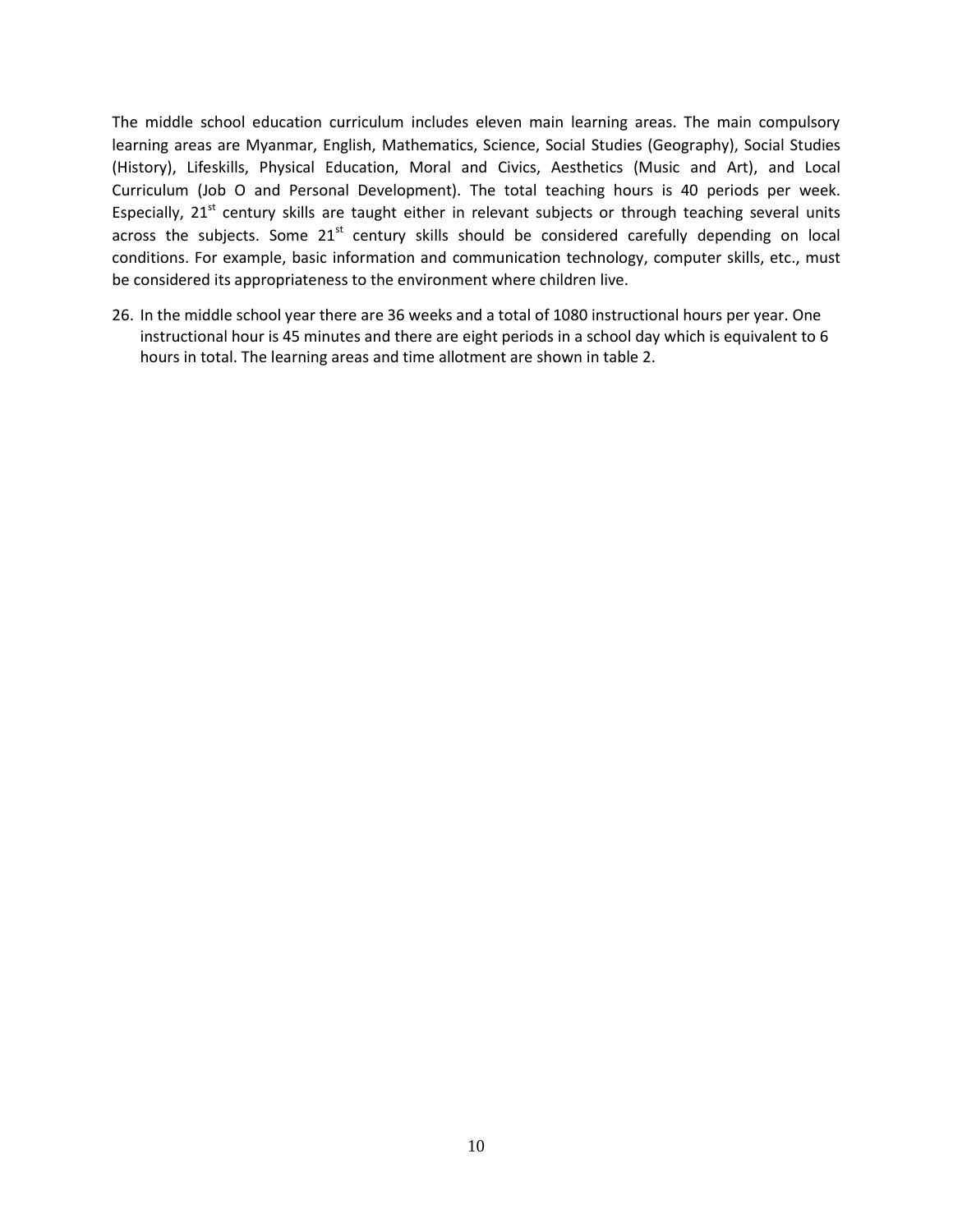The middle school education curriculum includes eleven main learning areas. The main compulsory learning areas are Myanmar, English, Mathematics, Science, Social Studies (Geography), Social Studies (History), Lifeskills, Physical Education, Moral and Civics, Aesthetics (Music and Art), and Local Curriculum (Job O and Personal Development). The total teaching hours is 40 periods per week. Especially,  $21<sup>st</sup>$  century skills are taught either in relevant subjects or through teaching several units across the subjects. Some  $21^{st}$  century skills should be considered carefully depending on local conditions. For example, basic information and communication technology, computer skills, etc., must be considered its appropriateness to the environment where children live.

26. In the middle school year there are 36 weeks and a total of 1080 instructional hours per year. One instructional hour is 45 minutes and there are eight periods in a school day which is equivalent to 6 hours in total. The learning areas and time allotment are shown in table 2.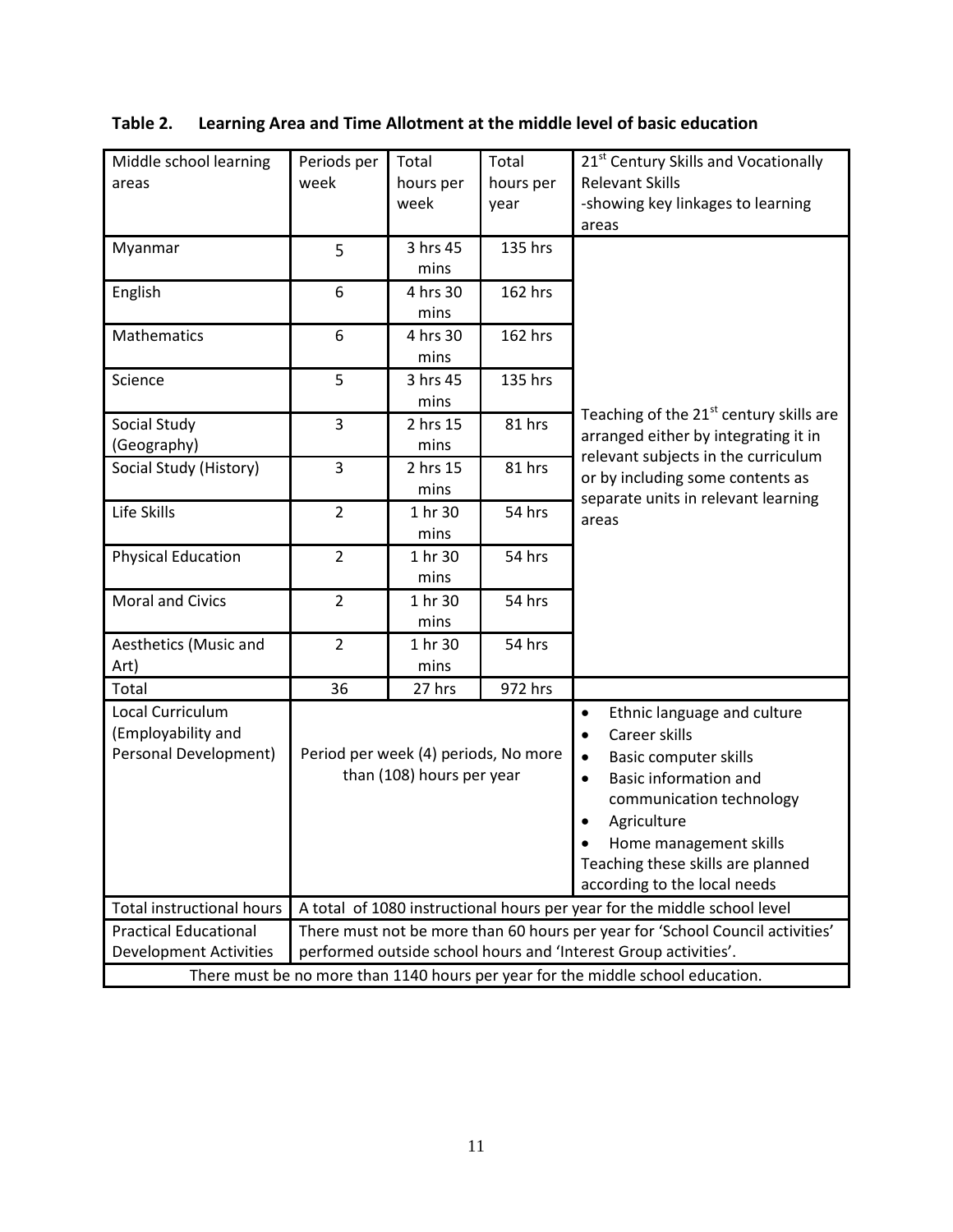| Middle school learning                                                          | Periods per                                                              | Total                                | Total     | 21 <sup>st</sup> Century Skills and Vocationally                              |  |  |  |  |  |
|---------------------------------------------------------------------------------|--------------------------------------------------------------------------|--------------------------------------|-----------|-------------------------------------------------------------------------------|--|--|--|--|--|
| areas                                                                           | week                                                                     | hours per                            | hours per | <b>Relevant Skills</b>                                                        |  |  |  |  |  |
|                                                                                 |                                                                          | week                                 | year      | -showing key linkages to learning                                             |  |  |  |  |  |
|                                                                                 |                                                                          |                                      |           | areas                                                                         |  |  |  |  |  |
| Myanmar                                                                         | 5                                                                        | 3 hrs 45                             | 135 hrs   |                                                                               |  |  |  |  |  |
|                                                                                 |                                                                          | mins                                 |           |                                                                               |  |  |  |  |  |
| English                                                                         | 6                                                                        | 4 hrs 30                             | 162 hrs   |                                                                               |  |  |  |  |  |
|                                                                                 |                                                                          | mins                                 |           |                                                                               |  |  |  |  |  |
| Mathematics                                                                     | 6                                                                        | 4 hrs 30                             | 162 hrs   |                                                                               |  |  |  |  |  |
|                                                                                 |                                                                          | mins                                 |           |                                                                               |  |  |  |  |  |
| Science                                                                         | 5                                                                        | 3 hrs 45                             | 135 hrs   |                                                                               |  |  |  |  |  |
|                                                                                 |                                                                          | mins                                 |           | Teaching of the 21 <sup>st</sup> century skills are                           |  |  |  |  |  |
| Social Study                                                                    | 3                                                                        | 2 hrs 15                             | 81 hrs    |                                                                               |  |  |  |  |  |
| (Geography)                                                                     |                                                                          | mins                                 |           | arranged either by integrating it in                                          |  |  |  |  |  |
| Social Study (History)                                                          | 3                                                                        | 2 hrs 15                             | 81 hrs    | relevant subjects in the curriculum                                           |  |  |  |  |  |
|                                                                                 |                                                                          | mins                                 |           | or by including some contents as<br>separate units in relevant learning       |  |  |  |  |  |
| Life Skills                                                                     | $\overline{2}$                                                           | 1 hr 30                              | 54 hrs    | areas                                                                         |  |  |  |  |  |
|                                                                                 |                                                                          | mins                                 |           |                                                                               |  |  |  |  |  |
| <b>Physical Education</b>                                                       | $\overline{2}$                                                           | 1 hr 30                              | 54 hrs    |                                                                               |  |  |  |  |  |
|                                                                                 |                                                                          | mins                                 |           |                                                                               |  |  |  |  |  |
| <b>Moral and Civics</b>                                                         | $\overline{2}$                                                           | 1 hr 30                              | 54 hrs    |                                                                               |  |  |  |  |  |
|                                                                                 |                                                                          | mins                                 |           |                                                                               |  |  |  |  |  |
| Aesthetics (Music and                                                           | $\overline{2}$                                                           | 1 hr 30                              | 54 hrs    |                                                                               |  |  |  |  |  |
| Art)                                                                            |                                                                          | mins                                 |           |                                                                               |  |  |  |  |  |
| Total                                                                           | 36                                                                       | 27 hrs                               | 972 hrs   |                                                                               |  |  |  |  |  |
| Local Curriculum                                                                |                                                                          |                                      |           | Ethnic language and culture<br>$\bullet$                                      |  |  |  |  |  |
| (Employability and                                                              |                                                                          |                                      |           | Career skills<br>$\bullet$                                                    |  |  |  |  |  |
| Personal Development)                                                           |                                                                          | Period per week (4) periods, No more |           | <b>Basic computer skills</b><br>$\bullet$                                     |  |  |  |  |  |
|                                                                                 |                                                                          | than (108) hours per year            |           | <b>Basic information and</b><br>$\bullet$                                     |  |  |  |  |  |
|                                                                                 |                                                                          |                                      |           | communication technology                                                      |  |  |  |  |  |
|                                                                                 |                                                                          |                                      |           | Agriculture<br>$\bullet$                                                      |  |  |  |  |  |
|                                                                                 |                                                                          |                                      |           | Home management skills                                                        |  |  |  |  |  |
|                                                                                 |                                                                          |                                      |           | Teaching these skills are planned                                             |  |  |  |  |  |
|                                                                                 | according to the local needs                                             |                                      |           |                                                                               |  |  |  |  |  |
| <b>Total instructional hours</b>                                                | A total of 1080 instructional hours per year for the middle school level |                                      |           |                                                                               |  |  |  |  |  |
| <b>Practical Educational</b>                                                    |                                                                          |                                      |           | There must not be more than 60 hours per year for 'School Council activities' |  |  |  |  |  |
| <b>Development Activities</b>                                                   |                                                                          |                                      |           | performed outside school hours and 'Interest Group activities'.               |  |  |  |  |  |
| There must be no more than 1140 hours per year for the middle school education. |                                                                          |                                      |           |                                                                               |  |  |  |  |  |

# **Table 2. Learning Area and Time Allotment at the middle level of basic education**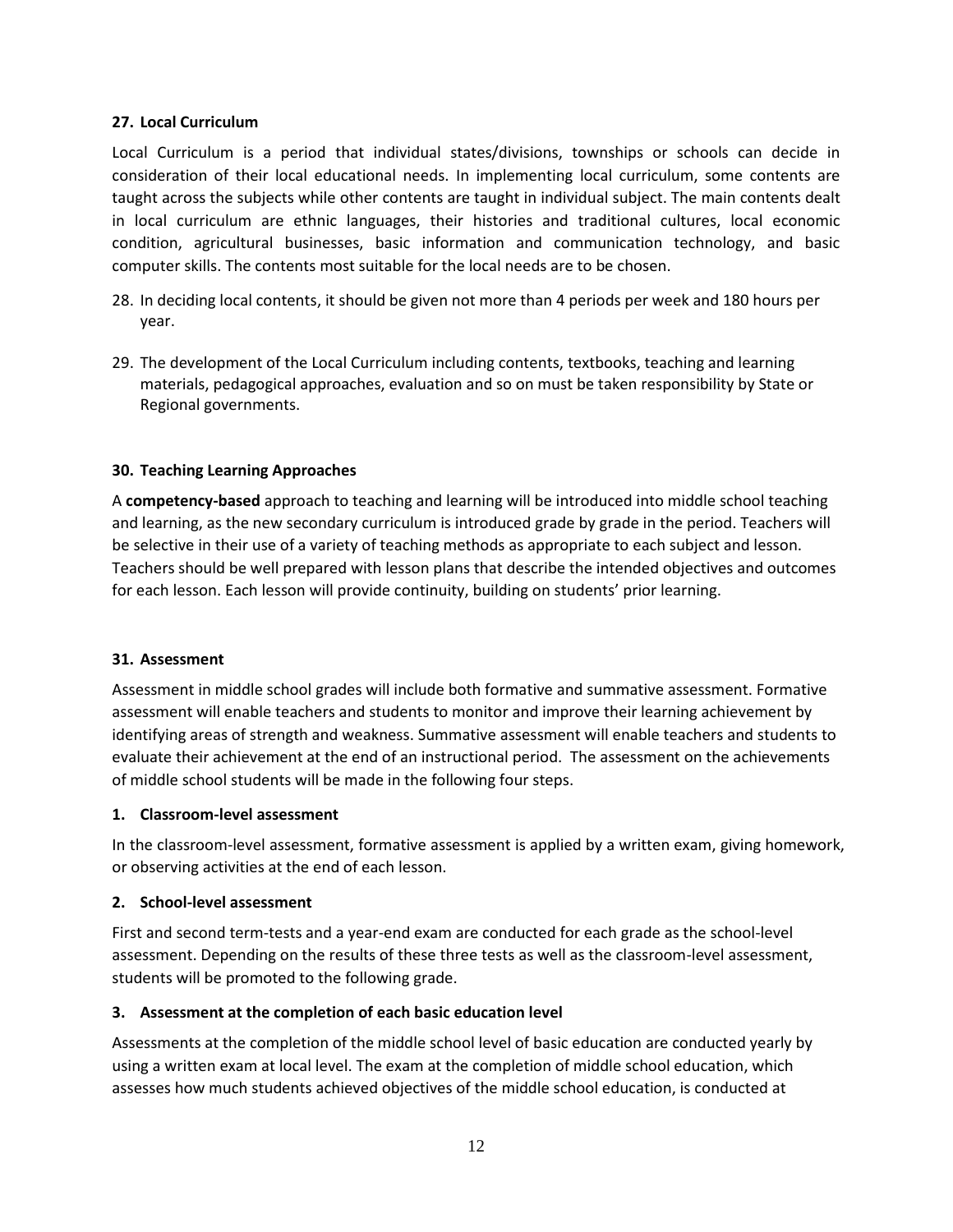#### **27. Local Curriculum**

Local Curriculum is a period that individual states/divisions, townships or schools can decide in consideration of their local educational needs. In implementing local curriculum, some contents are taught across the subjects while other contents are taught in individual subject. The main contents dealt in local curriculum are ethnic languages, their histories and traditional cultures, local economic condition, agricultural businesses, basic information and communication technology, and basic computer skills. The contents most suitable for the local needs are to be chosen.

- 28. In deciding local contents, it should be given not more than 4 periods per week and 180 hours per year.
- 29. The development of the Local Curriculum including contents, textbooks, teaching and learning materials, pedagogical approaches, evaluation and so on must be taken responsibility by State or Regional governments.

# **30. Teaching Learning Approaches**

A **competency-based** approach to teaching and learning will be introduced into middle school teaching and learning, as the new secondary curriculum is introduced grade by grade in the period. Teachers will be selective in their use of a variety of teaching methods as appropriate to each subject and lesson. Teachers should be well prepared with lesson plans that describe the intended objectives and outcomes for each lesson. Each lesson will provide continuity, building on students' prior learning.

#### **31. Assessment**

Assessment in middle school grades will include both formative and summative assessment. Formative assessment will enable teachers and students to monitor and improve their learning achievement by identifying areas of strength and weakness. Summative assessment will enable teachers and students to evaluate their achievement at the end of an instructional period. The assessment on the achievements of middle school students will be made in the following four steps.

#### **1. Classroom-level assessment**

In the classroom-level assessment, formative assessment is applied by a written exam, giving homework, or observing activities at the end of each lesson.

#### **2. School-level assessment**

First and second term-tests and a year-end exam are conducted for each grade as the school-level assessment. Depending on the results of these three tests as well as the classroom-level assessment, students will be promoted to the following grade.

# **3. Assessment at the completion of each basic education level**

Assessments at the completion of the middle school level of basic education are conducted yearly by using a written exam at local level. The exam at the completion of middle school education, which assesses how much students achieved objectives of the middle school education, is conducted at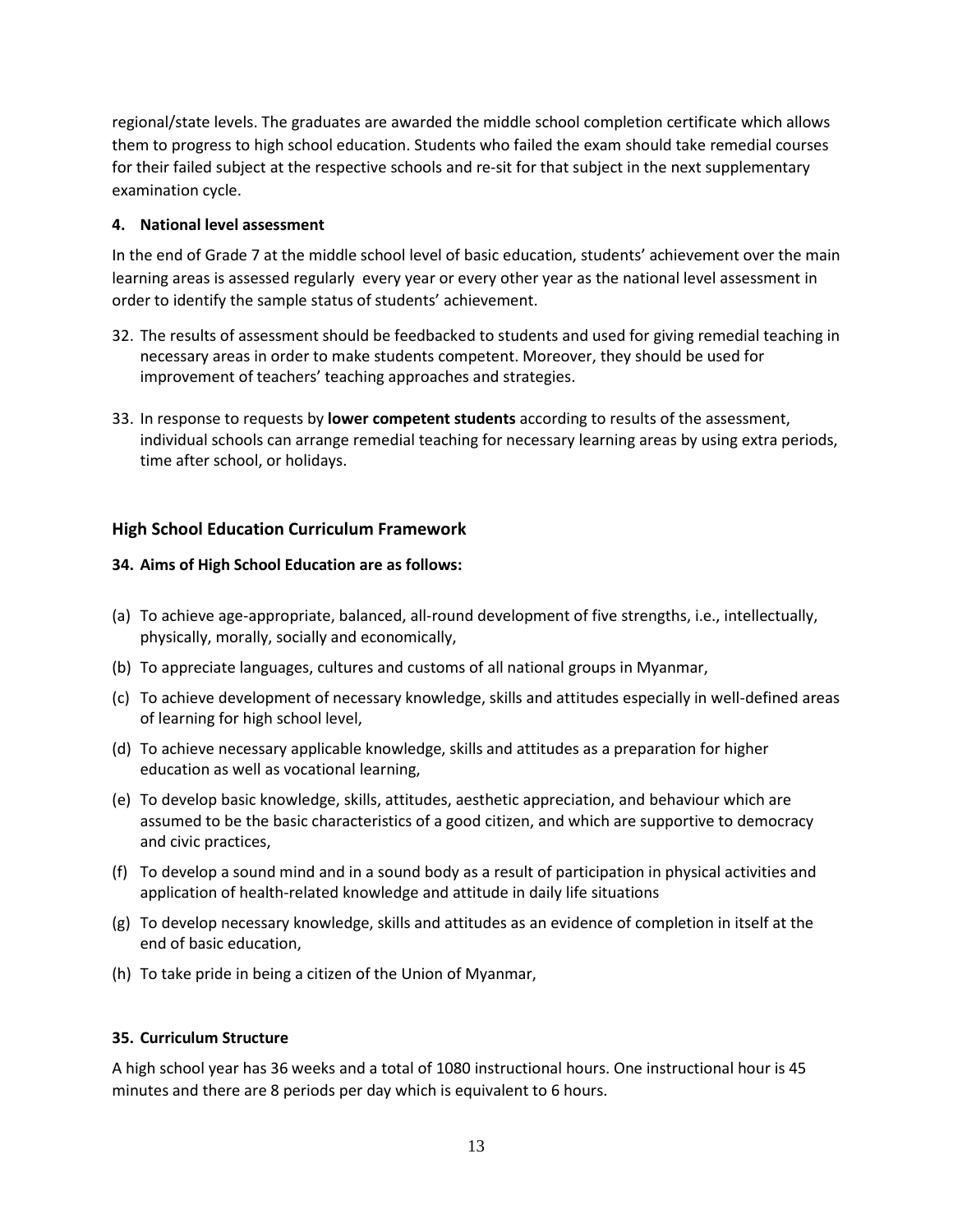regional/state levels. The graduates are awarded the middle school completion certificate which allows them to progress to high school education. Students who failed the exam should take remedial courses for their failed subject at the respective schools and re-sit for that subject in the next supplementary examination cycle.

#### **4. National level assessment**

In the end of Grade 7 at the middle school level of basic education, students' achievement over the main learning areas is assessed regularly every year or every other year as the national level assessment in order to identify the sample status of students' achievement.

- 32. The results of assessment should be feedbacked to students and used for giving remedial teaching in necessary areas in order to make students competent. Moreover, they should be used for improvement of teachers' teaching approaches and strategies.
- 33. In response to requests by **lower competent students** according to results of the assessment, individual schools can arrange remedial teaching for necessary learning areas by using extra periods, time after school, or holidays.

# **High School Education Curriculum Framework**

# **34. Aims of High School Education are as follows:**

- (a) To achieve age-appropriate, balanced, all-round development of five strengths, i.e., intellectually, physically, morally, socially and economically,
- (b) To appreciate languages, cultures and customs of all national groups in Myanmar,
- (c) To achieve development of necessary knowledge, skills and attitudes especially in well-defined areas of learning for high school level,
- (d) To achieve necessary applicable knowledge, skills and attitudes as a preparation for higher education as well as vocational learning,
- (e) To develop basic knowledge, skills, attitudes, aesthetic appreciation, and behaviour which are assumed to be the basic characteristics of a good citizen, and which are supportive to democracy and civic practices,
- (f) To develop a sound mind and in a sound body as a result of participation in physical activities and application of health-related knowledge and attitude in daily life situations
- (g) To develop necessary knowledge, skills and attitudes as an evidence of completion in itself at the end of basic education,
- (h) To take pride in being a citizen of the Union of Myanmar,

#### **35. Curriculum Structure**

A high school year has 36 weeks and a total of 1080 instructional hours. One instructional hour is 45 minutes and there are 8 periods per day which is equivalent to 6 hours.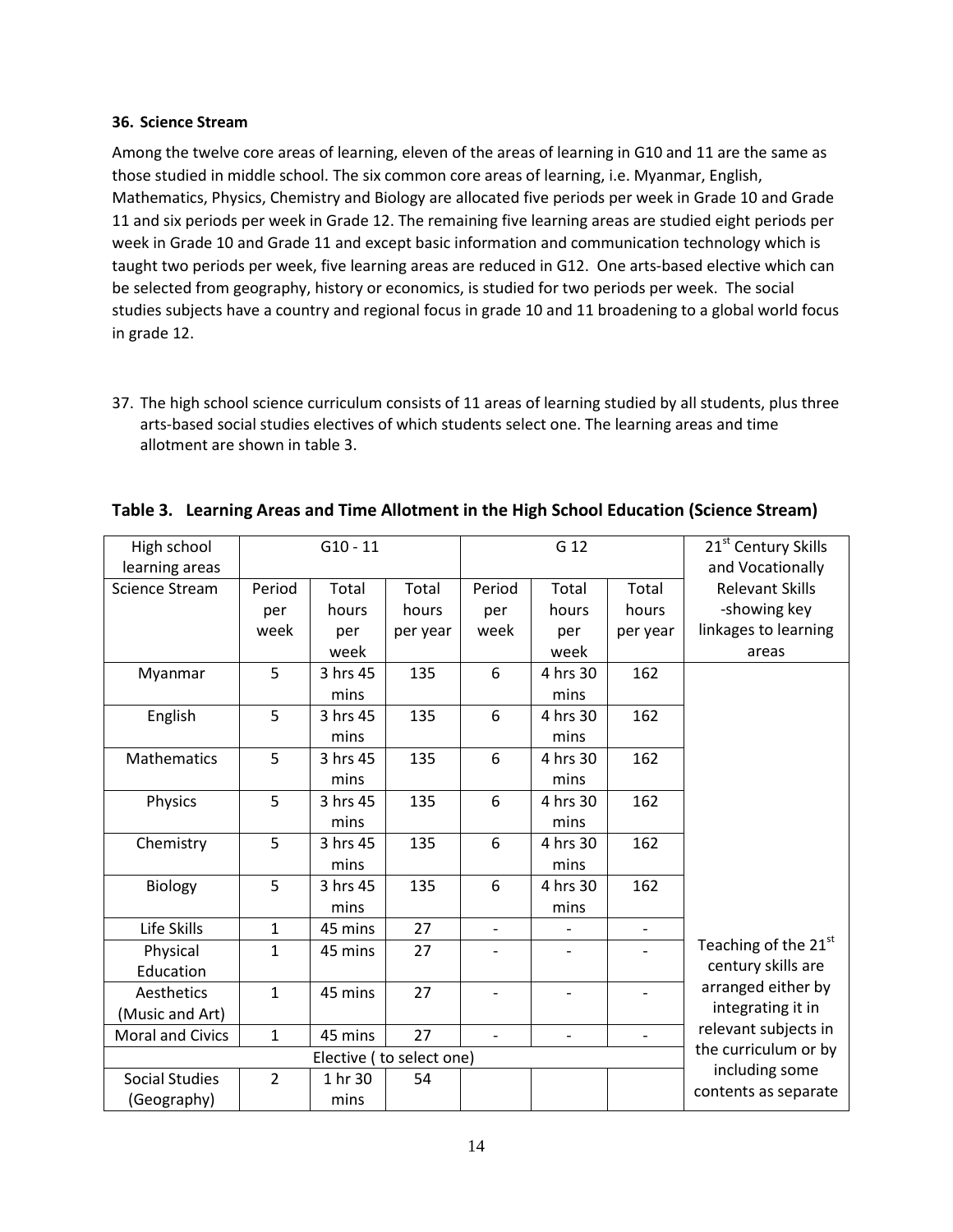#### **36. Science Stream**

Among the twelve core areas of learning, eleven of the areas of learning in G10 and 11 are the same as those studied in middle school. The six common core areas of learning, i.e. Myanmar, English, Mathematics, Physics, Chemistry and Biology are allocated five periods per week in Grade 10 and Grade 11 and six periods per week in Grade 12. The remaining five learning areas are studied eight periods per week in Grade 10 and Grade 11 and except basic information and communication technology which is taught two periods per week, five learning areas are reduced in G12. One arts-based elective which can be selected from geography, history or economics, is studied for two periods per week. The social studies subjects have a country and regional focus in grade 10 and 11 broadening to a global world focus in grade 12.

37. The high school science curriculum consists of 11 areas of learning studied by all students, plus three arts-based social studies electives of which students select one. The learning areas and time allotment are shown in table 3.

| High school             |                      | $G10 - 11$ |          |                          | G 12                     |                          | 21 <sup>st</sup> Century Skills |
|-------------------------|----------------------|------------|----------|--------------------------|--------------------------|--------------------------|---------------------------------|
| learning areas          |                      |            |          |                          |                          | and Vocationally         |                                 |
| <b>Science Stream</b>   | Period               | Total      | Total    | Period                   | Total                    | Total                    | <b>Relevant Skills</b>          |
|                         | per                  | hours      | hours    | per                      | hours                    | hours                    | -showing key                    |
|                         | week                 | per        | per year | week                     | per                      | per year                 | linkages to learning            |
|                         |                      | week       |          |                          | week                     |                          | areas                           |
| Myanmar                 | 5                    | 3 hrs 45   | 135      | 6                        | 4 hrs 30                 | 162                      |                                 |
|                         |                      | mins       |          |                          | mins                     |                          |                                 |
| English                 | 5                    | 3 hrs 45   | 135      | 6                        | 4 hrs 30                 | 162                      |                                 |
|                         |                      | mins       |          |                          | mins                     |                          |                                 |
| <b>Mathematics</b>      | 5                    | 3 hrs 45   | 135      | 6                        | 4 hrs 30                 | 162                      |                                 |
|                         |                      | mins       |          |                          | mins                     |                          |                                 |
| Physics                 | 5                    | 3 hrs 45   | 135      | 6                        | 4 hrs 30                 | 162                      |                                 |
|                         |                      | mins       |          |                          | mins                     |                          |                                 |
| Chemistry               | 5                    | 3 hrs 45   | 135      | 6                        | 4 hrs 30                 | 162                      |                                 |
|                         |                      | mins       |          |                          | mins                     |                          |                                 |
| Biology                 | 5                    | 3 hrs 45   | 135      | 6                        | 4 hrs 30                 | 162                      |                                 |
|                         |                      | mins       |          |                          | mins                     |                          |                                 |
| Life Skills             | 1                    | 45 mins    | 27       | $\blacksquare$           |                          | $\overline{\phantom{a}}$ |                                 |
| Physical                | $\mathbf{1}$         | 45 mins    | 27       |                          | $\overline{\phantom{0}}$ |                          | Teaching of the 21st            |
| Education               |                      |            |          |                          |                          |                          | century skills are              |
| Aesthetics              | $\mathbf{1}$         | 45 mins    | 27       |                          |                          |                          | arranged either by              |
| (Music and Art)         |                      |            |          |                          |                          |                          | integrating it in               |
| <b>Moral and Civics</b> | 1                    | 45 mins    | 27       | $\overline{\phantom{a}}$ | $\overline{\phantom{a}}$ | $\sim$                   | relevant subjects in            |
|                         | the curriculum or by |            |          |                          |                          |                          |                                 |
| <b>Social Studies</b>   | $\overline{2}$       | 1 hr 30    | 54       |                          |                          |                          | including some                  |
| (Geography)             |                      | mins       |          |                          |                          |                          | contents as separate            |

|  |  | Table 3. Learning Areas and Time Allotment in the High School Education (Science Stream) |  |
|--|--|------------------------------------------------------------------------------------------|--|
|--|--|------------------------------------------------------------------------------------------|--|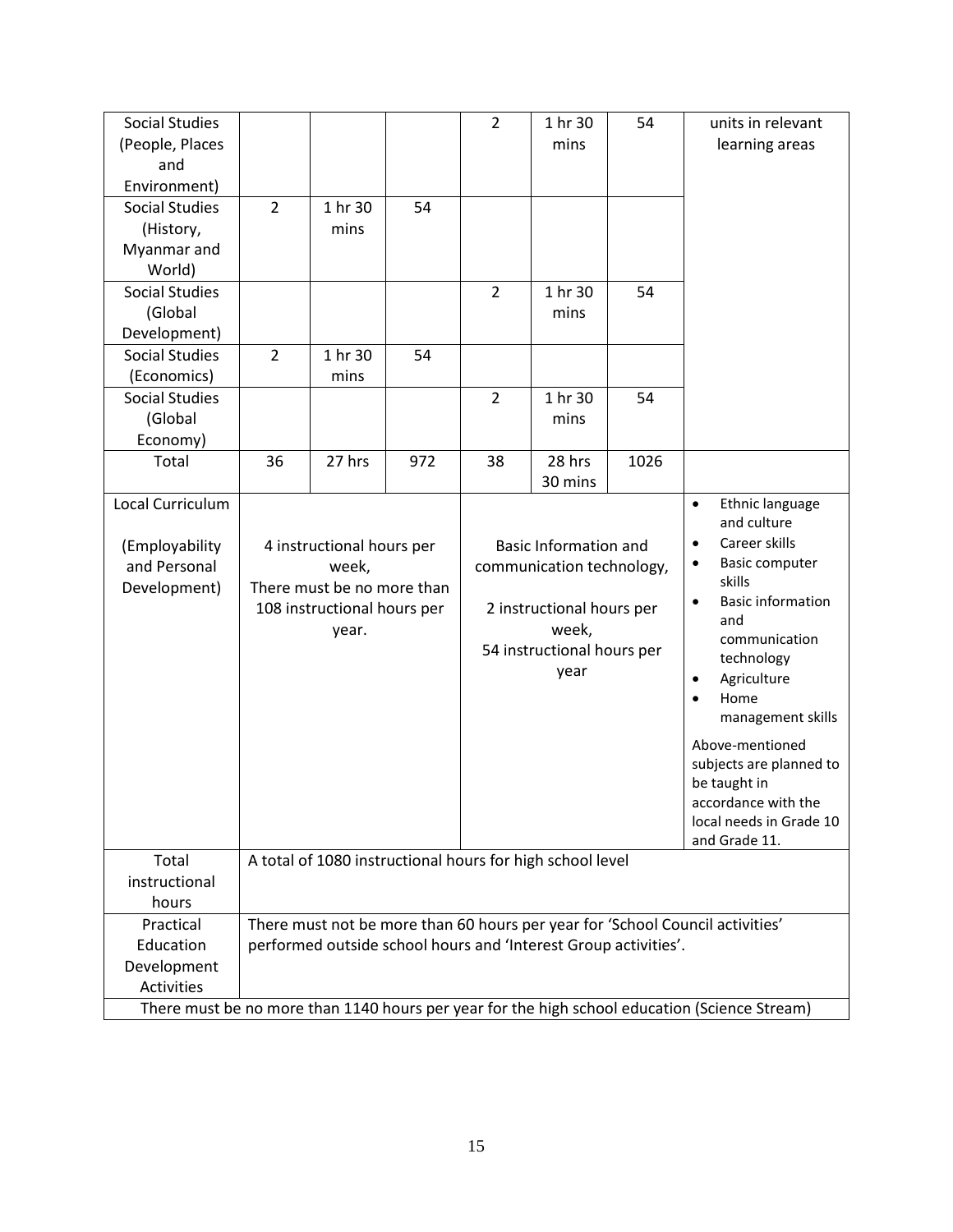| <b>Social Studies</b>                                                                         |                                                                 |                             |     | $\overline{2}$               | 1 hr 30                                                   | 54                                    | units in relevant                                                             |  |  |  |
|-----------------------------------------------------------------------------------------------|-----------------------------------------------------------------|-----------------------------|-----|------------------------------|-----------------------------------------------------------|---------------------------------------|-------------------------------------------------------------------------------|--|--|--|
| (People, Places                                                                               |                                                                 |                             |     |                              | mins                                                      |                                       | learning areas                                                                |  |  |  |
| and                                                                                           |                                                                 |                             |     |                              |                                                           |                                       |                                                                               |  |  |  |
| Environment)                                                                                  |                                                                 |                             |     |                              |                                                           |                                       |                                                                               |  |  |  |
| <b>Social Studies</b>                                                                         | $\overline{2}$                                                  | 1 hr 30                     | 54  |                              |                                                           |                                       |                                                                               |  |  |  |
| (History,                                                                                     |                                                                 | mins                        |     |                              |                                                           |                                       |                                                                               |  |  |  |
| Myanmar and                                                                                   |                                                                 |                             |     |                              |                                                           |                                       |                                                                               |  |  |  |
| World)                                                                                        |                                                                 |                             |     |                              |                                                           |                                       |                                                                               |  |  |  |
| <b>Social Studies</b>                                                                         |                                                                 |                             |     | $\overline{2}$               | 1 hr 30                                                   | 54                                    |                                                                               |  |  |  |
| (Global                                                                                       |                                                                 |                             |     |                              | mins                                                      |                                       |                                                                               |  |  |  |
| Development)                                                                                  |                                                                 |                             |     |                              |                                                           |                                       |                                                                               |  |  |  |
| <b>Social Studies</b>                                                                         | $\overline{2}$                                                  | 1 hr 30                     | 54  |                              |                                                           |                                       |                                                                               |  |  |  |
| (Economics)                                                                                   |                                                                 | mins                        |     |                              |                                                           |                                       |                                                                               |  |  |  |
| <b>Social Studies</b>                                                                         |                                                                 |                             |     | $\overline{2}$               | 1 hr 30                                                   | 54                                    |                                                                               |  |  |  |
| (Global                                                                                       |                                                                 |                             |     |                              | mins                                                      |                                       |                                                                               |  |  |  |
| Economy)                                                                                      |                                                                 |                             |     |                              |                                                           |                                       |                                                                               |  |  |  |
| Total                                                                                         | 36                                                              | 27 hrs                      | 972 | 38                           | 28 hrs                                                    | 1026                                  |                                                                               |  |  |  |
|                                                                                               |                                                                 |                             |     |                              | 30 mins                                                   |                                       |                                                                               |  |  |  |
| Local Curriculum                                                                              |                                                                 |                             |     |                              |                                                           |                                       | Ethnic language<br>$\bullet$<br>and culture                                   |  |  |  |
| (Employability                                                                                |                                                                 | 4 instructional hours per   |     | <b>Basic Information and</b> |                                                           |                                       | Career skills<br>$\bullet$                                                    |  |  |  |
| and Personal                                                                                  |                                                                 | week,                       |     |                              | communication technology,                                 | Basic computer<br>$\bullet$           |                                                                               |  |  |  |
| Development)                                                                                  |                                                                 | There must be no more than  |     |                              |                                                           | skills                                |                                                                               |  |  |  |
|                                                                                               |                                                                 | 108 instructional hours per |     |                              | 2 instructional hours per                                 | <b>Basic information</b><br>$\bullet$ |                                                                               |  |  |  |
|                                                                                               |                                                                 | year.                       |     |                              | week,                                                     | and<br>communication                  |                                                                               |  |  |  |
|                                                                                               |                                                                 |                             |     |                              | 54 instructional hours per                                |                                       | technology                                                                    |  |  |  |
|                                                                                               |                                                                 |                             |     |                              | year                                                      | Agriculture<br>$\bullet$              |                                                                               |  |  |  |
|                                                                                               |                                                                 |                             |     |                              |                                                           |                                       | Home                                                                          |  |  |  |
|                                                                                               |                                                                 |                             |     |                              |                                                           |                                       | management skills                                                             |  |  |  |
|                                                                                               |                                                                 |                             |     |                              |                                                           |                                       | Above-mentioned                                                               |  |  |  |
|                                                                                               |                                                                 |                             |     |                              |                                                           |                                       | subjects are planned to                                                       |  |  |  |
|                                                                                               |                                                                 |                             |     |                              |                                                           |                                       | be taught in                                                                  |  |  |  |
|                                                                                               |                                                                 |                             |     |                              |                                                           |                                       | accordance with the                                                           |  |  |  |
|                                                                                               |                                                                 |                             |     |                              |                                                           |                                       | local needs in Grade 10                                                       |  |  |  |
|                                                                                               |                                                                 |                             |     |                              |                                                           |                                       | and Grade 11.                                                                 |  |  |  |
| Total                                                                                         |                                                                 |                             |     |                              | A total of 1080 instructional hours for high school level |                                       |                                                                               |  |  |  |
| instructional                                                                                 |                                                                 |                             |     |                              |                                                           |                                       |                                                                               |  |  |  |
| hours                                                                                         |                                                                 |                             |     |                              |                                                           |                                       |                                                                               |  |  |  |
| Practical                                                                                     |                                                                 |                             |     |                              |                                                           |                                       | There must not be more than 60 hours per year for 'School Council activities' |  |  |  |
| Education                                                                                     | performed outside school hours and 'Interest Group activities'. |                             |     |                              |                                                           |                                       |                                                                               |  |  |  |
| Development                                                                                   |                                                                 |                             |     |                              |                                                           |                                       |                                                                               |  |  |  |
| Activities                                                                                    |                                                                 |                             |     |                              |                                                           |                                       |                                                                               |  |  |  |
| There must be no more than 1140 hours per year for the high school education (Science Stream) |                                                                 |                             |     |                              |                                                           |                                       |                                                                               |  |  |  |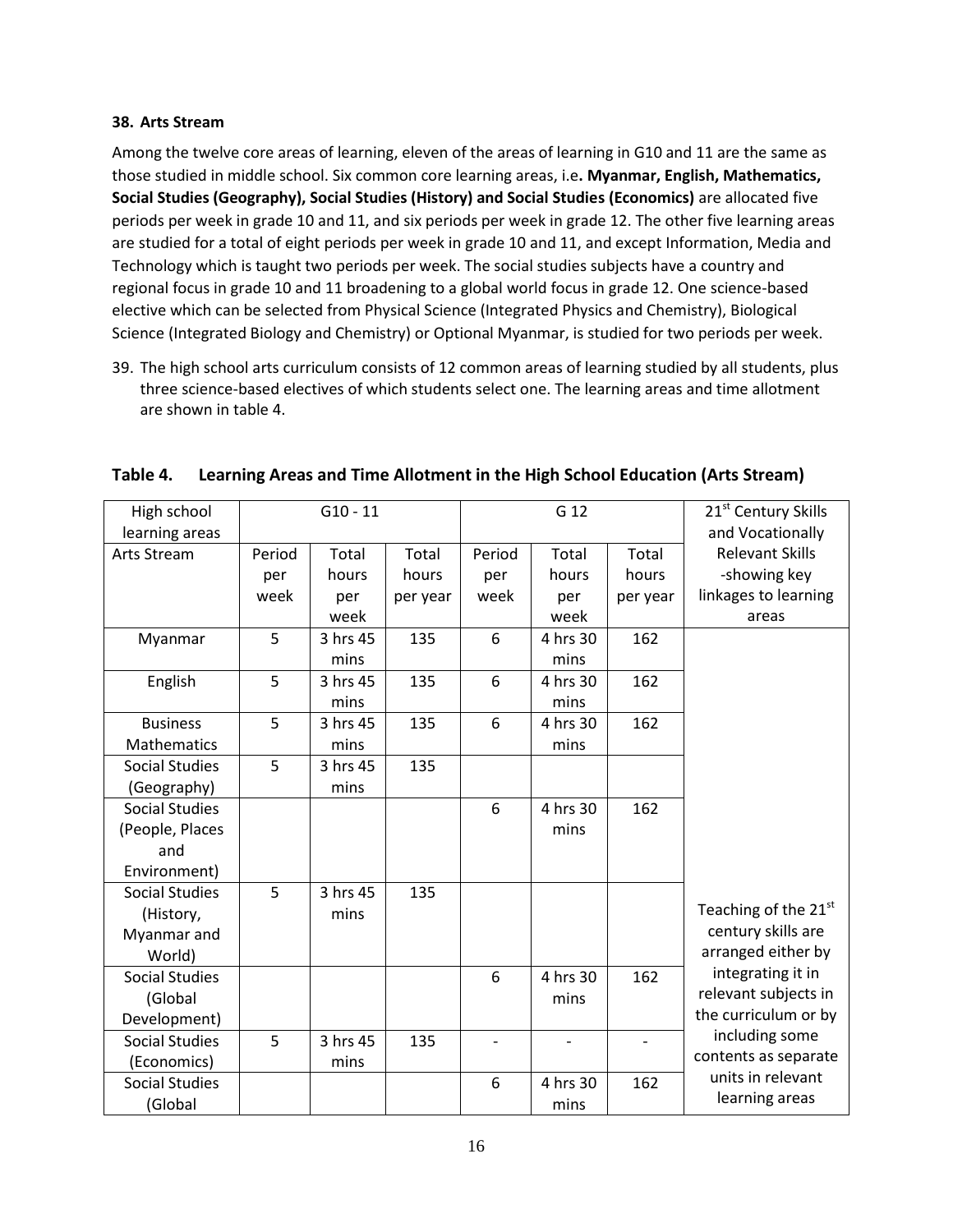#### **38. Arts Stream**

Among the twelve core areas of learning, eleven of the areas of learning in G10 and 11 are the same as those studied in middle school. Six common core learning areas, i.e**. Myanmar, English, Mathematics, Social Studies (Geography), Social Studies (History) and Social Studies (Economics)** are allocated five periods per week in grade 10 and 11, and six periods per week in grade 12. The other five learning areas are studied for a total of eight periods per week in grade 10 and 11, and except Information, Media and Technology which is taught two periods per week. The social studies subjects have a country and regional focus in grade 10 and 11 broadening to a global world focus in grade 12. One science-based elective which can be selected from Physical Science (Integrated Physics and Chemistry), Biological Science (Integrated Biology and Chemistry) or Optional Myanmar, is studied for two periods per week.

39. The high school arts curriculum consists of 12 common areas of learning studied by all students, plus three science-based electives of which students select one. The learning areas and time allotment are shown in table 4.

| High school           |        | $G10 - 11$ |          |        | G 12              |          | 21 <sup>st</sup> Century Skills |
|-----------------------|--------|------------|----------|--------|-------------------|----------|---------------------------------|
| learning areas        |        |            |          |        |                   |          | and Vocationally                |
| <b>Arts Stream</b>    | Period | Total      | Total    | Period | Total             | Total    | <b>Relevant Skills</b>          |
|                       | per    | hours      | hours    | per    | hours             | hours    | -showing key                    |
|                       | week   | per        | per year | week   | per               | per year | linkages to learning            |
|                       |        | week       |          |        | week              |          | areas                           |
| Myanmar               | 5      | 3 hrs 45   | 135      | 6      | 4 hrs 30          | 162      |                                 |
|                       |        | mins       |          |        | mins              |          |                                 |
| English               | 5      | 3 hrs 45   | 135      | 6      | 4 hrs 30          | 162      |                                 |
|                       |        | mins       |          |        | mins              |          |                                 |
| <b>Business</b>       | 5      | 3 hrs 45   | 135      | 6      | 4 hrs 30          | 162      |                                 |
| Mathematics           |        | mins       |          |        | mins              |          |                                 |
| <b>Social Studies</b> | 5      | 3 hrs 45   | 135      |        |                   |          |                                 |
| (Geography)           |        | mins       |          |        |                   |          |                                 |
| <b>Social Studies</b> |        |            |          | 6      | 4 hrs 30          | 162      |                                 |
| (People, Places       |        |            |          |        | mins              |          |                                 |
| and                   |        |            |          |        |                   |          |                                 |
| Environment)          |        |            |          |        |                   |          |                                 |
| <b>Social Studies</b> | 5      | 3 hrs 45   | 135      |        |                   |          |                                 |
| (History,             |        | mins       |          |        |                   |          | Teaching of the 21st            |
| Myanmar and           |        |            |          |        |                   |          | century skills are              |
| World)                |        |            |          |        |                   |          | arranged either by              |
| <b>Social Studies</b> |        |            |          | 6      | 4 hrs 30          | 162      | integrating it in               |
| (Global               |        |            |          |        | mins              |          | relevant subjects in            |
| Development)          |        |            |          |        |                   |          | the curriculum or by            |
| <b>Social Studies</b> | 5      | 3 hrs 45   | 135      |        | $\qquad \qquad -$ |          | including some                  |
| (Economics)           |        | mins       |          |        |                   |          | contents as separate            |
| <b>Social Studies</b> |        |            |          | 6      | 4 hrs 30          | 162      | units in relevant               |
| (Global               |        |            |          |        | mins              |          | learning areas                  |

# **Table 4. Learning Areas and Time Allotment in the High School Education (Arts Stream)**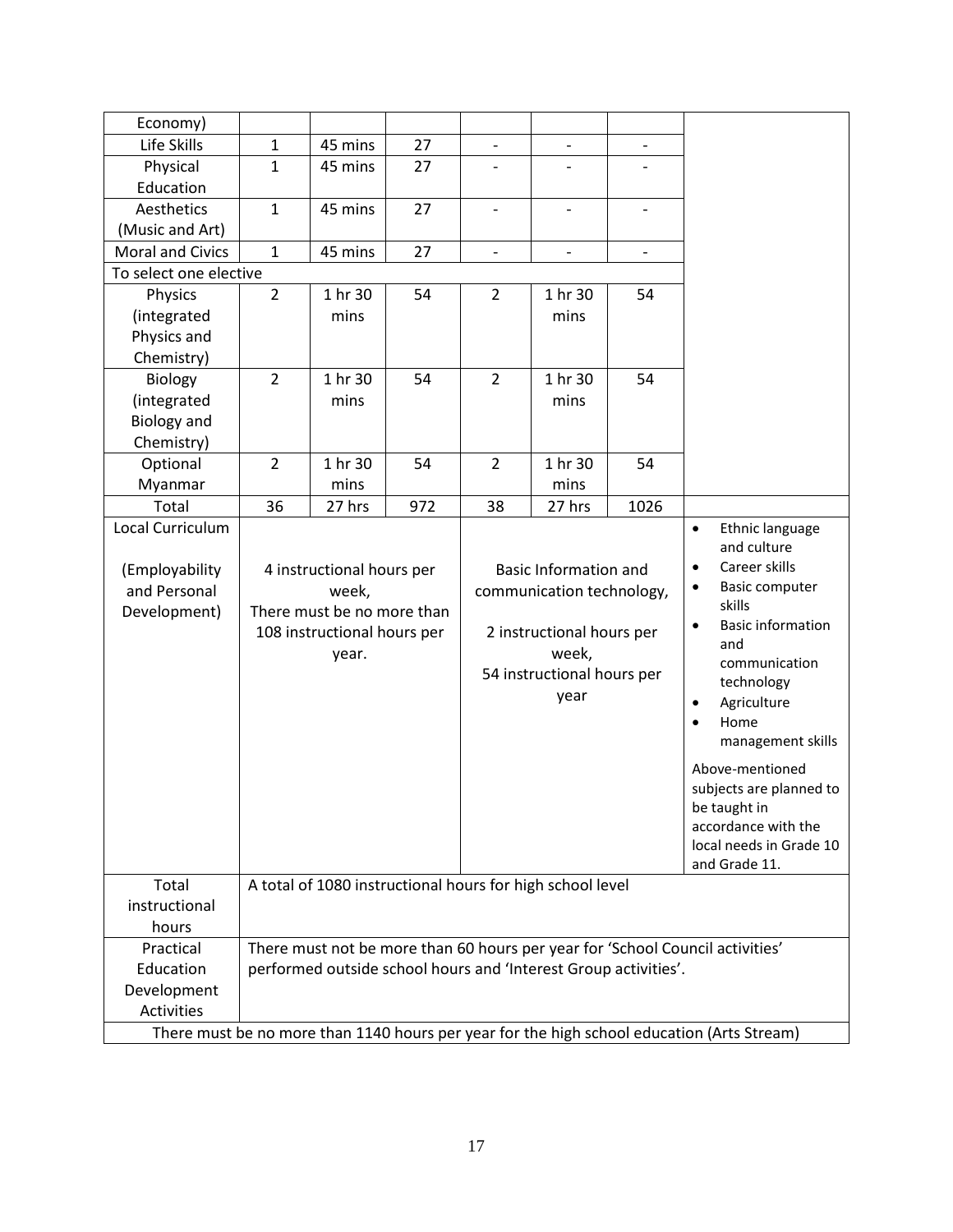| Economy)                                                                                   |                |                                                                 |     |                          |                              |                                       |                                                                               |  |
|--------------------------------------------------------------------------------------------|----------------|-----------------------------------------------------------------|-----|--------------------------|------------------------------|---------------------------------------|-------------------------------------------------------------------------------|--|
| Life Skills                                                                                | 1              | 45 mins                                                         | 27  |                          |                              |                                       |                                                                               |  |
| Physical                                                                                   | $\mathbf 1$    | 45 mins                                                         | 27  |                          |                              |                                       |                                                                               |  |
| Education                                                                                  |                |                                                                 |     |                          |                              |                                       |                                                                               |  |
| Aesthetics                                                                                 | $\mathbf 1$    | 45 mins                                                         | 27  |                          |                              | $\overline{\phantom{a}}$              |                                                                               |  |
| (Music and Art)                                                                            |                |                                                                 |     |                          |                              |                                       |                                                                               |  |
| <b>Moral and Civics</b>                                                                    | $\mathbf{1}$   | 45 mins                                                         | 27  | $\overline{\phantom{0}}$ | $\blacksquare$               | $\overline{\phantom{a}}$              |                                                                               |  |
| To select one elective                                                                     |                |                                                                 |     |                          |                              |                                       |                                                                               |  |
| Physics                                                                                    | $\overline{2}$ | 1 hr 30                                                         | 54  | $\overline{2}$           | 1 hr 30                      | 54                                    |                                                                               |  |
| (integrated                                                                                |                | mins                                                            |     |                          | mins                         |                                       |                                                                               |  |
| Physics and                                                                                |                |                                                                 |     |                          |                              |                                       |                                                                               |  |
| Chemistry)                                                                                 |                |                                                                 |     |                          |                              |                                       |                                                                               |  |
| Biology                                                                                    | $\overline{2}$ | 1 hr 30                                                         | 54  | $\overline{2}$           | 1 hr 30                      | 54                                    |                                                                               |  |
| (integrated                                                                                |                | mins                                                            |     |                          | mins                         |                                       |                                                                               |  |
| <b>Biology and</b>                                                                         |                |                                                                 |     |                          |                              |                                       |                                                                               |  |
| Chemistry)                                                                                 |                |                                                                 |     |                          |                              |                                       |                                                                               |  |
| Optional                                                                                   | $\overline{2}$ | 1 hr 30                                                         | 54  | $\overline{2}$           | 1 hr 30                      | 54                                    |                                                                               |  |
| Myanmar                                                                                    |                | mins                                                            |     |                          | mins                         |                                       |                                                                               |  |
| Total                                                                                      | 36             | 27 hrs                                                          | 972 | 38                       | 27 hrs                       | 1026                                  |                                                                               |  |
| Local Curriculum                                                                           |                |                                                                 |     |                          |                              |                                       | Ethnic language<br>$\bullet$                                                  |  |
|                                                                                            |                |                                                                 |     |                          |                              |                                       | and culture                                                                   |  |
| (Employability                                                                             |                | 4 instructional hours per                                       |     |                          | <b>Basic Information and</b> | Career skills<br>٠                    |                                                                               |  |
| and Personal                                                                               |                | week,                                                           |     |                          | communication technology,    | Basic computer<br>$\bullet$           |                                                                               |  |
| Development)                                                                               |                | There must be no more than                                      |     |                          |                              | skills                                |                                                                               |  |
|                                                                                            |                | 108 instructional hours per                                     |     |                          | 2 instructional hours per    | <b>Basic information</b><br>$\bullet$ |                                                                               |  |
|                                                                                            |                | year.                                                           |     |                          | week,                        |                                       | and                                                                           |  |
|                                                                                            |                |                                                                 |     |                          | 54 instructional hours per   | communication<br>technology           |                                                                               |  |
|                                                                                            |                |                                                                 |     |                          | year                         |                                       | Agriculture<br>٠                                                              |  |
|                                                                                            |                |                                                                 |     |                          |                              |                                       | Home<br>$\bullet$                                                             |  |
|                                                                                            |                |                                                                 |     |                          |                              |                                       | management skills                                                             |  |
|                                                                                            |                |                                                                 |     |                          |                              |                                       |                                                                               |  |
|                                                                                            |                |                                                                 |     |                          |                              |                                       | Above-mentioned                                                               |  |
|                                                                                            |                |                                                                 |     |                          |                              |                                       | subjects are planned to                                                       |  |
|                                                                                            |                |                                                                 |     |                          |                              |                                       | be taught in<br>accordance with the                                           |  |
|                                                                                            |                |                                                                 |     |                          |                              |                                       | local needs in Grade 10                                                       |  |
|                                                                                            |                |                                                                 |     |                          |                              |                                       | and Grade 11.                                                                 |  |
| Total                                                                                      |                | A total of 1080 instructional hours for high school level       |     |                          |                              |                                       |                                                                               |  |
| instructional                                                                              |                |                                                                 |     |                          |                              |                                       |                                                                               |  |
| hours                                                                                      |                |                                                                 |     |                          |                              |                                       |                                                                               |  |
| Practical                                                                                  |                |                                                                 |     |                          |                              |                                       | There must not be more than 60 hours per year for 'School Council activities' |  |
| Education                                                                                  |                | performed outside school hours and 'Interest Group activities'. |     |                          |                              |                                       |                                                                               |  |
| Development                                                                                |                |                                                                 |     |                          |                              |                                       |                                                                               |  |
| Activities                                                                                 |                |                                                                 |     |                          |                              |                                       |                                                                               |  |
|                                                                                            |                |                                                                 |     |                          |                              |                                       |                                                                               |  |
| There must be no more than 1140 hours per year for the high school education (Arts Stream) |                |                                                                 |     |                          |                              |                                       |                                                                               |  |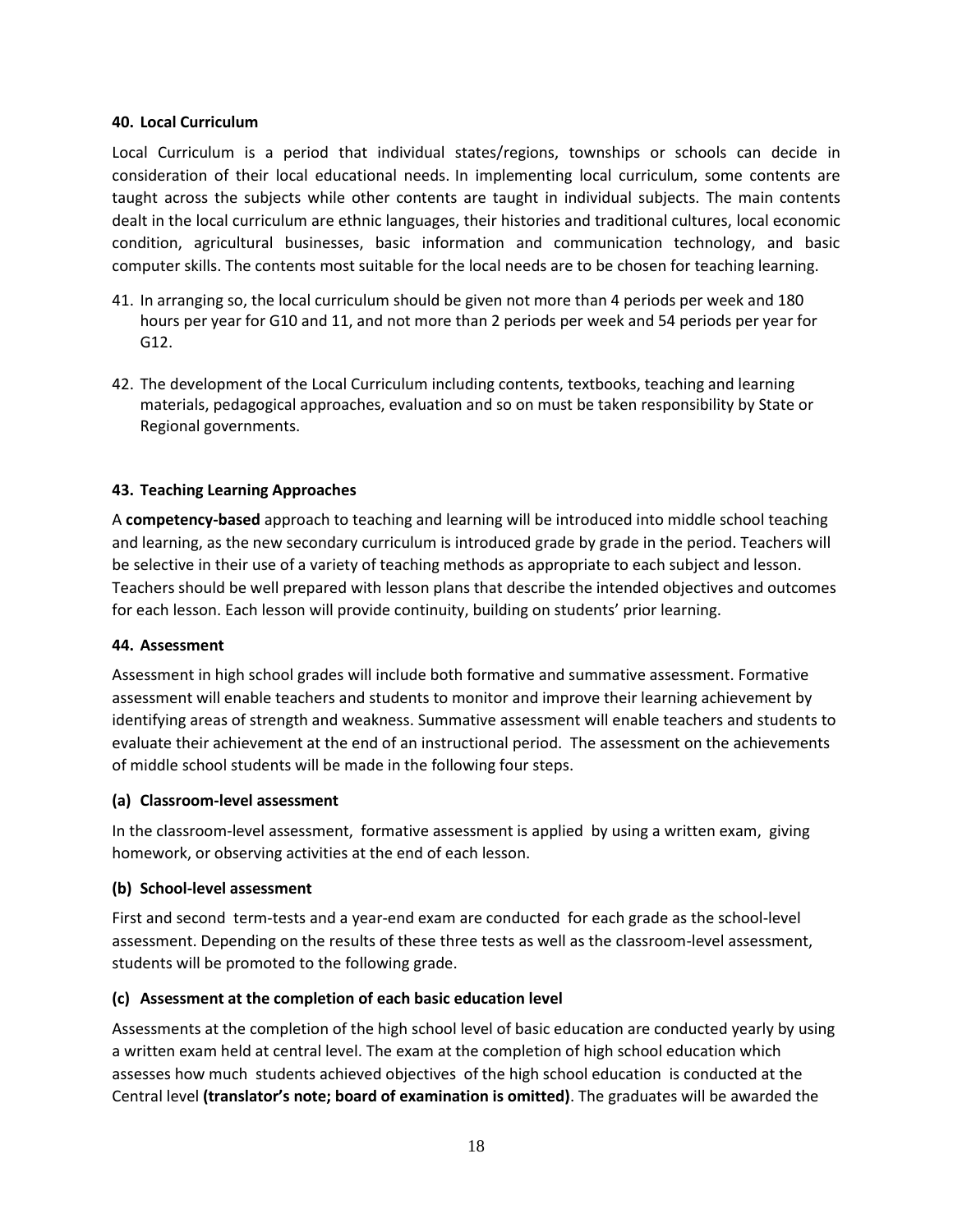#### **40. Local Curriculum**

Local Curriculum is a period that individual states/regions, townships or schools can decide in consideration of their local educational needs. In implementing local curriculum, some contents are taught across the subjects while other contents are taught in individual subjects. The main contents dealt in the local curriculum are ethnic languages, their histories and traditional cultures, local economic condition, agricultural businesses, basic information and communication technology, and basic computer skills. The contents most suitable for the local needs are to be chosen for teaching learning.

- 41. In arranging so, the local curriculum should be given not more than 4 periods per week and 180 hours per year for G10 and 11, and not more than 2 periods per week and 54 periods per year for G12.
- 42. The development of the Local Curriculum including contents, textbooks, teaching and learning materials, pedagogical approaches, evaluation and so on must be taken responsibility by State or Regional governments.

#### **43. Teaching Learning Approaches**

A **competency-based** approach to teaching and learning will be introduced into middle school teaching and learning, as the new secondary curriculum is introduced grade by grade in the period. Teachers will be selective in their use of a variety of teaching methods as appropriate to each subject and lesson. Teachers should be well prepared with lesson plans that describe the intended objectives and outcomes for each lesson. Each lesson will provide continuity, building on students' prior learning.

#### **44. Assessment**

Assessment in high school grades will include both formative and summative assessment. Formative assessment will enable teachers and students to monitor and improve their learning achievement by identifying areas of strength and weakness. Summative assessment will enable teachers and students to evaluate their achievement at the end of an instructional period. The assessment on the achievements of middle school students will be made in the following four steps.

#### **(a) Classroom-level assessment**

In the classroom-level assessment, formative assessment is applied by using a written exam, giving homework, or observing activities at the end of each lesson.

#### **(b) School-level assessment**

First and second term-tests and a year-end exam are conducted for each grade as the school-level assessment. Depending on the results of these three tests as well as the classroom-level assessment, students will be promoted to the following grade.

#### **(c) Assessment at the completion of each basic education level**

Assessments at the completion of the high school level of basic education are conducted yearly by using a written exam held at central level. The exam at the completion of high school education which assesses how much students achieved objectives of the high school education is conducted at the Central level **(translator's note; board of examination is omitted)**. The graduates will be awarded the